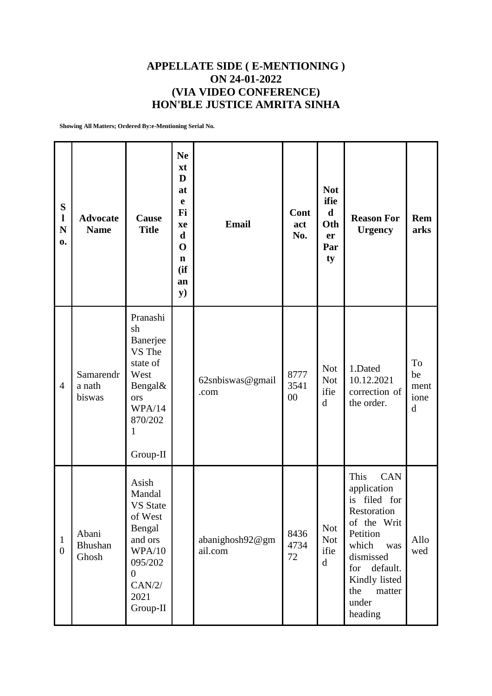## **APPELLATE SIDE ( E-MENTIONING ) ON 24-01-2022 (VIA VIDEO CONFERENCE) HON'BLE JUSTICE AMRITA SINHA**

**Showing All Matters; Ordered By:e-Mentioning Serial No.**

| S<br>$\mathbf{l}$<br>N<br>0.     | <b>Advocate</b><br><b>Name</b> | Cause<br><b>Title</b>                                                                                                                          | <b>Ne</b><br>xt<br>D<br>at<br>$\mathbf e$<br>Fi<br>xe<br>$\mathbf d$<br>$\mathbf 0$<br>$\mathbf n$<br>(ii)<br>an<br><b>y</b> ) | <b>Email</b>               | Cont<br>act<br>No. | <b>Not</b><br>ifie<br>$\mathbf d$<br>Oth<br>er<br>Par<br>ty | <b>Reason For</b><br><b>Urgency</b>                                                                                                                                                        | <b>Rem</b><br>arks            |
|----------------------------------|--------------------------------|------------------------------------------------------------------------------------------------------------------------------------------------|--------------------------------------------------------------------------------------------------------------------------------|----------------------------|--------------------|-------------------------------------------------------------|--------------------------------------------------------------------------------------------------------------------------------------------------------------------------------------------|-------------------------------|
| $\overline{4}$                   | Samarendr<br>a nath<br>biswas  | Pranashi<br>sh<br>Banerjee<br>VS The<br>state of<br>West<br>Bengal&<br>ors<br>WPA/14<br>870/202<br>1<br>Group-II                               |                                                                                                                                | 62snbiswas@gmail<br>.com   | 8777<br>3541<br>00 | <b>Not</b><br><b>Not</b><br>ifie<br>d                       | 1.Dated<br>10.12.2021<br>correction of<br>the order.                                                                                                                                       | To<br>be<br>ment<br>ione<br>d |
| $\mathbf{1}$<br>$\boldsymbol{0}$ | Abani<br>Bhushan<br>Ghosh      | Asish<br>Mandal<br><b>VS State</b><br>of West<br>Bengal<br>and ors<br><b>WPA/10</b><br>095/202<br>$\overline{0}$<br>CAN/2/<br>2021<br>Group-II |                                                                                                                                | abanighosh92@gm<br>ail.com | 8436<br>4734<br>72 | <b>Not</b><br><b>Not</b><br>ifie<br>$\mathbf d$             | This<br>CAN<br>application<br>is filed for<br>Restoration<br>of the Writ<br>Petition<br>which<br>was<br>dismissed<br>default.<br>for<br>Kindly listed<br>the<br>matter<br>under<br>heading | Allo<br>wed                   |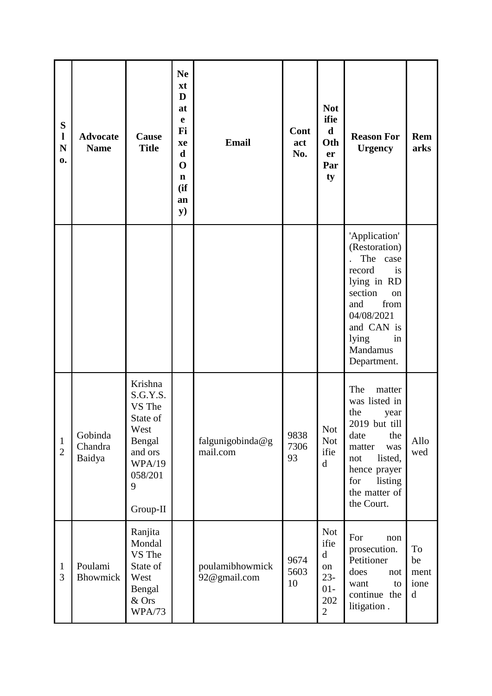| ${\bf S}$<br>$\mathbf{l}$<br>${\bf N}$<br>0. | <b>Advocate</b><br><b>Name</b> | Cause<br><b>Title</b>                                                                                               | <b>Ne</b><br>xt<br>D<br>at<br>e<br>Fi<br>xe<br>$\mathbf d$<br>$\mathbf 0$<br>$\mathbf n$<br>(ii)<br>an<br>${\bf y})$ | <b>Email</b>                    | Cont<br>act<br>No. | <b>Not</b><br>ifie<br>$\mathbf d$<br>Oth<br>er<br>Par<br>ty                         | <b>Reason For</b><br><b>Urgency</b>                                                                                                                                                | Rem<br>arks                             |
|----------------------------------------------|--------------------------------|---------------------------------------------------------------------------------------------------------------------|----------------------------------------------------------------------------------------------------------------------|---------------------------------|--------------------|-------------------------------------------------------------------------------------|------------------------------------------------------------------------------------------------------------------------------------------------------------------------------------|-----------------------------------------|
|                                              |                                |                                                                                                                     |                                                                                                                      |                                 |                    |                                                                                     | 'Application'<br>(Restoration)<br>The<br>case<br>record<br>is<br>lying in RD<br>section<br>on<br>and<br>from<br>04/08/2021<br>and CAN is<br>lying<br>in<br>Mandamus<br>Department. |                                         |
| $\mathbf{1}$<br>$\overline{2}$               | Gobinda<br>Chandra<br>Baidya   | Krishna<br>S.G.Y.S.<br>VS The<br>State of<br>West<br>Bengal<br>and ors<br><b>WPA/19</b><br>058/201<br>9<br>Group-II |                                                                                                                      | falgunigobinda@g<br>mail.com    | 9838<br>7306<br>93 | <b>Not</b><br><b>Not</b><br>ifie<br>d                                               | The<br>matter<br>was listed in<br>the<br>year<br>2019 but till<br>date<br>the<br>matter<br>was<br>listed,<br>not<br>hence prayer<br>for<br>listing<br>the matter of<br>the Court.  | Allo<br>wed                             |
| $\mathbf{1}$<br>3                            | Poulami<br>Bhowmick            | Ranjita<br>Mondal<br>VS The<br>State of<br>West<br>Bengal<br>& Ors<br>WPA/73                                        |                                                                                                                      | poulamibhowmick<br>92@gmail.com | 9674<br>5603<br>10 | <b>Not</b><br>ifie<br>$\mathbf d$<br>on<br>$23 -$<br>$01-$<br>202<br>$\overline{2}$ | For<br>non<br>prosecution.<br>Petitioner<br>does<br>not<br>want<br>to<br>continue the<br>litigation.                                                                               | To<br>be<br>ment<br>ione<br>$\mathbf d$ |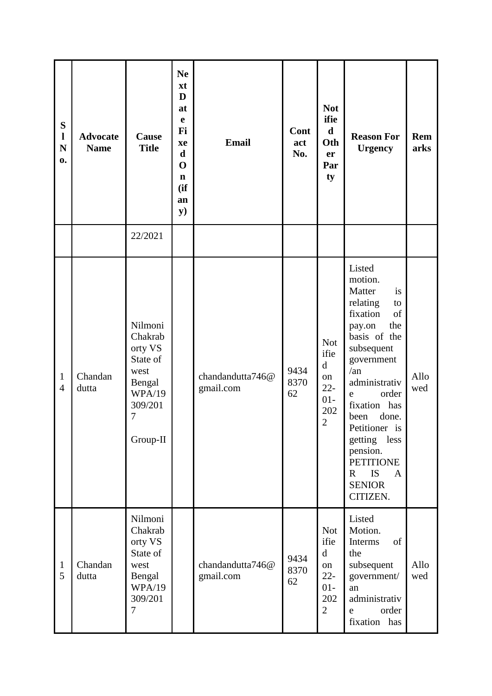| S<br>$\mathbf{l}$<br>${\bf N}$<br>0. | <b>Advocate</b><br><b>Name</b> | Cause<br><b>Title</b>                                                                                    | <b>Ne</b><br>xt<br>D<br>at<br>e<br>Fi<br>xe<br>$\mathbf d$<br>$\mathbf 0$<br>$\mathbf n$<br>(ii)<br>an<br>${\bf y})$ | <b>Email</b>                  | Cont<br>act<br>No. | <b>Not</b><br>ifie<br>$\mathbf d$<br>Oth<br>er<br>Par<br>ty                         | <b>Reason For</b><br><b>Urgency</b>                                                                                                                                                                                                                                                                                                          | Rem<br>arks |
|--------------------------------------|--------------------------------|----------------------------------------------------------------------------------------------------------|----------------------------------------------------------------------------------------------------------------------|-------------------------------|--------------------|-------------------------------------------------------------------------------------|----------------------------------------------------------------------------------------------------------------------------------------------------------------------------------------------------------------------------------------------------------------------------------------------------------------------------------------------|-------------|
|                                      |                                | 22/2021                                                                                                  |                                                                                                                      |                               |                    |                                                                                     |                                                                                                                                                                                                                                                                                                                                              |             |
| $\mathbf{1}$<br>$\overline{4}$       | Chandan<br>dutta               | Nilmoni<br>Chakrab<br>orty VS<br>State of<br>west<br>Bengal<br><b>WPA/19</b><br>309/201<br>7<br>Group-II |                                                                                                                      | chandandutta746@<br>gmail.com | 9434<br>8370<br>62 | <b>Not</b><br>ifie<br>$\mathbf d$<br>on<br>$22 -$<br>$01-$<br>202<br>$\overline{2}$ | Listed<br>motion.<br>Matter<br>is<br>relating<br>to<br>fixation<br>of<br>the<br>pay.on<br>basis of the<br>subsequent<br>government<br>/an<br>administrativ<br>order<br>e<br>fixation has<br>done.<br>been<br>Petitioner is<br>getting less<br>pension.<br><b>PETITIONE</b><br>IS<br>$\mathbf R$<br>$\mathbf{A}$<br><b>SENIOR</b><br>CITIZEN. | Allo<br>wed |
| $\mathbf{1}$<br>5                    | Chandan<br>dutta               | Nilmoni<br>Chakrab<br>orty VS<br>State of<br>west<br>Bengal<br><b>WPA/19</b><br>309/201<br>7             |                                                                                                                      | chandandutta746@<br>gmail.com | 9434<br>8370<br>62 | <b>Not</b><br>ifie<br>$\mathbf d$<br>on<br>$22 -$<br>$01-$<br>202<br>$\overline{2}$ | Listed<br>Motion.<br>Interms<br>of<br>the<br>subsequent<br>government/<br>an<br>administrativ<br>order<br>e<br>fixation has                                                                                                                                                                                                                  | Allo<br>wed |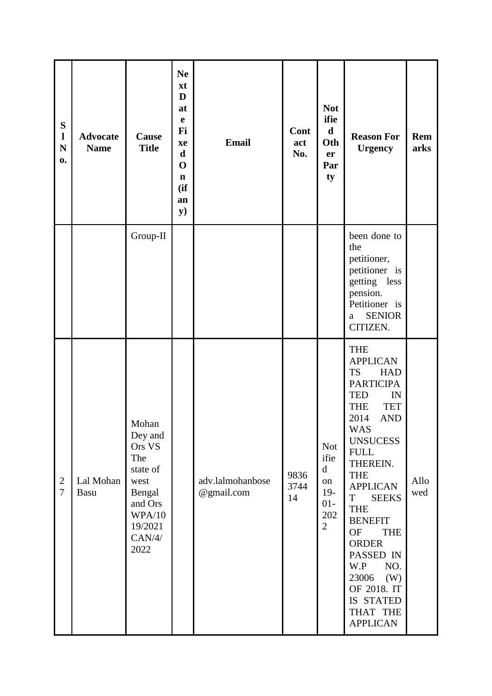| ${\bf S}$<br>$\mathbf{l}$<br>$\mathbf N$<br>0. | <b>Advocate</b><br><b>Name</b> | Cause<br><b>Title</b>                                                                                             | <b>Ne</b><br>xt<br>D<br>at<br>e<br>Fi<br>xe<br>d<br>$\mathbf 0$<br>$\mathbf n$<br>(ii)<br>an<br><b>y</b> ) | <b>Email</b>                   | Cont<br>act<br>No. | <b>Not</b><br>ifie<br>$\mathbf d$<br>Oth<br>er<br>Par<br>ty                         | <b>Reason For</b><br><b>Urgency</b>                                                                                                                                                                                                                                                                                                                                                                                                                             | Rem<br>arks |
|------------------------------------------------|--------------------------------|-------------------------------------------------------------------------------------------------------------------|------------------------------------------------------------------------------------------------------------|--------------------------------|--------------------|-------------------------------------------------------------------------------------|-----------------------------------------------------------------------------------------------------------------------------------------------------------------------------------------------------------------------------------------------------------------------------------------------------------------------------------------------------------------------------------------------------------------------------------------------------------------|-------------|
|                                                |                                | Group-II                                                                                                          |                                                                                                            |                                |                    |                                                                                     | been done to<br>the<br>petitioner,<br>petitioner is<br>getting less<br>pension.<br>Petitioner is<br><b>SENIOR</b><br>$\mathbf{a}$<br>CITIZEN.                                                                                                                                                                                                                                                                                                                   |             |
| $\mathbf{2}$<br>$\overline{7}$                 | Lal Mohan<br>Basu              | Mohan<br>Dey and<br>Ors VS<br>The<br>state of<br>west<br>Bengal<br>and Ors<br>WPA/10<br>19/2021<br>CAN/4/<br>2022 |                                                                                                            | adv.lalmohanbose<br>@gmail.com | 9836<br>3744<br>14 | <b>Not</b><br>ifie<br>$\mathbf d$<br>on<br>$19-$<br>$01 -$<br>202<br>$\overline{2}$ | <b>THE</b><br><b>APPLICAN</b><br><b>TS</b><br><b>HAD</b><br><b>PARTICIPA</b><br><b>TED</b><br>IN<br><b>TET</b><br><b>THE</b><br>2014<br><b>AND</b><br><b>WAS</b><br><b>UNSUCESS</b><br><b>FULL</b><br>THEREIN.<br><b>THE</b><br><b>APPLICAN</b><br>$\mathbf T$<br><b>SEEKS</b><br><b>THE</b><br><b>BENEFIT</b><br><b>OF</b><br><b>THE</b><br><b>ORDER</b><br>PASSED IN<br>W.P<br>NO.<br>23006<br>(W)<br>OF 2018. IT<br>IS STATED<br>THAT THE<br><b>APPLICAN</b> | Allo<br>wed |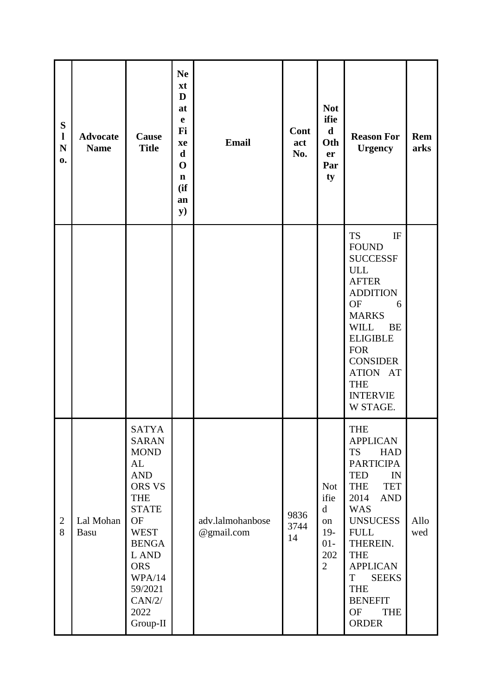| S<br>$\mathbf{l}$<br>N<br>$\mathbf{0}$ . | <b>Advocate</b><br><b>Name</b> | Cause<br><b>Title</b>                                                                                                                                                                                                         | <b>Ne</b><br>xt<br>D<br>at<br>e<br>Fi<br>xe<br>$\mathbf d$<br>$\mathbf 0$<br>$\mathbf n$<br>(if)<br>an<br>${\bf y})$ | <b>Email</b>                   | Cont<br>act<br>No. | <b>Not</b><br>ifie<br>d<br>Oth<br>er<br>Par<br>ty                                  | <b>Reason For</b><br><b>Urgency</b>                                                                                                                                                                                                                                                                                                             | Rem<br>arks |
|------------------------------------------|--------------------------------|-------------------------------------------------------------------------------------------------------------------------------------------------------------------------------------------------------------------------------|----------------------------------------------------------------------------------------------------------------------|--------------------------------|--------------------|------------------------------------------------------------------------------------|-------------------------------------------------------------------------------------------------------------------------------------------------------------------------------------------------------------------------------------------------------------------------------------------------------------------------------------------------|-------------|
|                                          |                                |                                                                                                                                                                                                                               |                                                                                                                      |                                |                    |                                                                                    | <b>TS</b><br>IF<br><b>FOUND</b><br><b>SUCCESSF</b><br><b>ULL</b><br><b>AFTER</b><br><b>ADDITION</b><br><b>OF</b><br>6<br><b>MARKS</b><br><b>WILL</b><br>BE<br><b>ELIGIBLE</b><br><b>FOR</b><br><b>CONSIDER</b><br>ATION AT<br><b>THE</b><br><b>INTERVIE</b><br>W STAGE.                                                                         |             |
| $\overline{2}$<br>8                      | Lal Mohan<br>Basu              | <b>SATYA</b><br><b>SARAN</b><br><b>MOND</b><br>AL<br><b>AND</b><br>ORS VS<br><b>THE</b><br><b>STATE</b><br><b>OF</b><br><b>WEST</b><br><b>BENGA</b><br>L AND<br><b>ORS</b><br>WPA/14<br>59/2021<br>CAN/2/<br>2022<br>Group-II |                                                                                                                      | adv.lalmohanbose<br>@gmail.com | 9836<br>3744<br>14 | <b>Not</b><br>ifie<br>$\mathbf d$<br>on<br>$19-$<br>$01-$<br>202<br>$\overline{2}$ | <b>THE</b><br><b>APPLICAN</b><br><b>TS</b><br><b>HAD</b><br><b>PARTICIPA</b><br><b>TED</b><br>IN<br><b>TET</b><br><b>THE</b><br>2014<br><b>AND</b><br><b>WAS</b><br><b>UNSUCESS</b><br><b>FULL</b><br>THEREIN.<br><b>THE</b><br><b>APPLICAN</b><br>T<br><b>SEEKS</b><br><b>THE</b><br><b>BENEFIT</b><br><b>OF</b><br><b>THE</b><br><b>ORDER</b> | Allo<br>wed |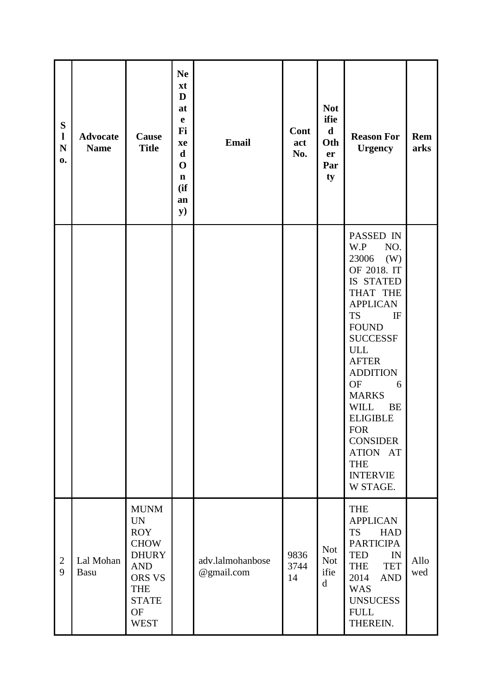| S<br>$\mathbf{l}$<br>N<br>0. | <b>Advocate</b><br><b>Name</b> | Cause<br><b>Title</b>                                                                                                                                   | <b>Ne</b><br>xt<br>D<br>at<br>$\mathbf e$<br>Fi<br>xe<br>$\mathbf d$<br>$\mathbf 0$<br>$\mathbf n$<br>(ii)<br>an<br>${\bf y})$ | <b>Email</b>                   | Cont<br>act<br>No. | <b>Not</b><br>ifie<br>d<br>Oth<br>er<br>Par<br>ty | <b>Reason For</b><br><b>Urgency</b>                                                                                                                                                                                                                                                                                                                                                  | <b>Rem</b><br>arks |
|------------------------------|--------------------------------|---------------------------------------------------------------------------------------------------------------------------------------------------------|--------------------------------------------------------------------------------------------------------------------------------|--------------------------------|--------------------|---------------------------------------------------|--------------------------------------------------------------------------------------------------------------------------------------------------------------------------------------------------------------------------------------------------------------------------------------------------------------------------------------------------------------------------------------|--------------------|
|                              |                                |                                                                                                                                                         |                                                                                                                                |                                |                    |                                                   | PASSED IN<br>W.P<br>NO.<br>23006<br>(W)<br>OF 2018. IT<br>IS STATED<br>THAT THE<br><b>APPLICAN</b><br><b>TS</b><br>IF<br><b>FOUND</b><br><b>SUCCESSF</b><br><b>ULL</b><br><b>AFTER</b><br><b>ADDITION</b><br><b>OF</b><br>6<br><b>MARKS</b><br><b>WILL</b><br><b>BE</b><br><b>ELIGIBLE</b><br><b>FOR</b><br><b>CONSIDER</b><br>ATION AT<br><b>THE</b><br><b>INTERVIE</b><br>W STAGE. |                    |
| $\overline{2}$<br>9          | Lal Mohan<br>Basu              | <b>MUNM</b><br><b>UN</b><br><b>ROY</b><br><b>CHOW</b><br><b>DHURY</b><br><b>AND</b><br>ORS VS<br><b>THE</b><br><b>STATE</b><br><b>OF</b><br><b>WEST</b> |                                                                                                                                | adv.lalmohanbose<br>@gmail.com | 9836<br>3744<br>14 | <b>Not</b><br><b>Not</b><br>ifie<br>$\mathbf d$   | <b>THE</b><br><b>APPLICAN</b><br><b>TS</b><br><b>HAD</b><br><b>PARTICIPA</b><br><b>TED</b><br>IN<br><b>TET</b><br><b>THE</b><br>2014<br><b>AND</b><br><b>WAS</b><br><b>UNSUCESS</b><br><b>FULL</b><br>THEREIN.                                                                                                                                                                       | Allo<br>wed        |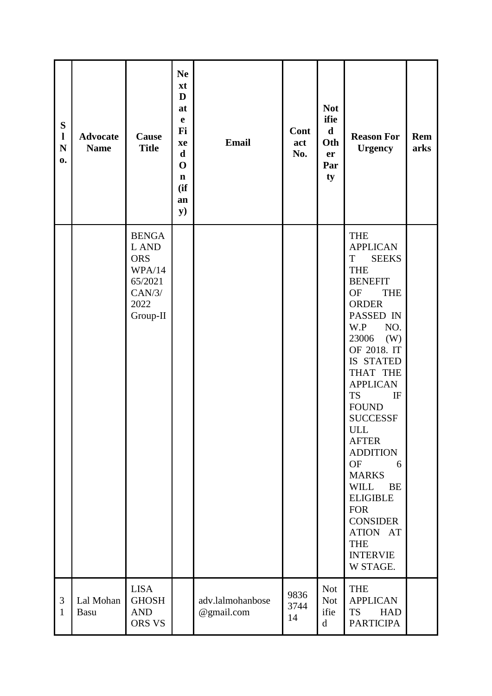| ${\bf S}$<br>$\mathbf{l}$<br>$\mathbf N$<br>0. | <b>Advocate</b><br><b>Name</b> | Cause<br><b>Title</b>                                                                  | <b>Ne</b><br>xt<br>D<br>at<br>$\mathbf e$<br>Fi<br>xe<br>$\mathbf d$<br>$\mathbf 0$<br>$\mathbf n$<br>(ii)<br>an<br>${\bf y})$ | <b>Email</b>                   | Cont<br>act<br>No. | <b>Not</b><br>ifie<br>$\mathbf d$<br>Oth<br>er<br>Par<br>ty | <b>Reason For</b><br><b>Urgency</b>                                                                                                                                                                                                                                                                                                                                                                                                                                                                     | Rem<br>arks |
|------------------------------------------------|--------------------------------|----------------------------------------------------------------------------------------|--------------------------------------------------------------------------------------------------------------------------------|--------------------------------|--------------------|-------------------------------------------------------------|---------------------------------------------------------------------------------------------------------------------------------------------------------------------------------------------------------------------------------------------------------------------------------------------------------------------------------------------------------------------------------------------------------------------------------------------------------------------------------------------------------|-------------|
|                                                |                                | <b>BENGA</b><br>L AND<br><b>ORS</b><br>WPA/14<br>65/2021<br>CAN/3/<br>2022<br>Group-II |                                                                                                                                |                                |                    |                                                             | <b>THE</b><br><b>APPLICAN</b><br><b>SEEKS</b><br>T<br><b>THE</b><br><b>BENEFIT</b><br><b>OF</b><br><b>THE</b><br><b>ORDER</b><br>PASSED IN<br>W.P<br>NO.<br>23006<br>(W)<br>OF 2018. IT<br>IS STATED<br>THAT THE<br><b>APPLICAN</b><br><b>TS</b><br>IF<br><b>FOUND</b><br><b>SUCCESSF</b><br>ULL<br><b>AFTER</b><br><b>ADDITION</b><br>OF<br>6<br><b>MARKS</b><br><b>WILL</b><br><b>BE</b><br><b>ELIGIBLE</b><br><b>FOR</b><br><b>CONSIDER</b><br>ATION AT<br><b>THE</b><br><b>INTERVIE</b><br>W STAGE. |             |
| 3<br>$\mathbf{1}$                              | Lal Mohan<br>Basu              | <b>LISA</b><br><b>GHOSH</b><br><b>AND</b><br>ORS VS                                    |                                                                                                                                | adv.lalmohanbose<br>@gmail.com | 9836<br>3744<br>14 | <b>Not</b><br><b>Not</b><br>ifie<br>$\mathbf d$             | <b>THE</b><br><b>APPLICAN</b><br><b>TS</b><br><b>HAD</b><br><b>PARTICIPA</b>                                                                                                                                                                                                                                                                                                                                                                                                                            |             |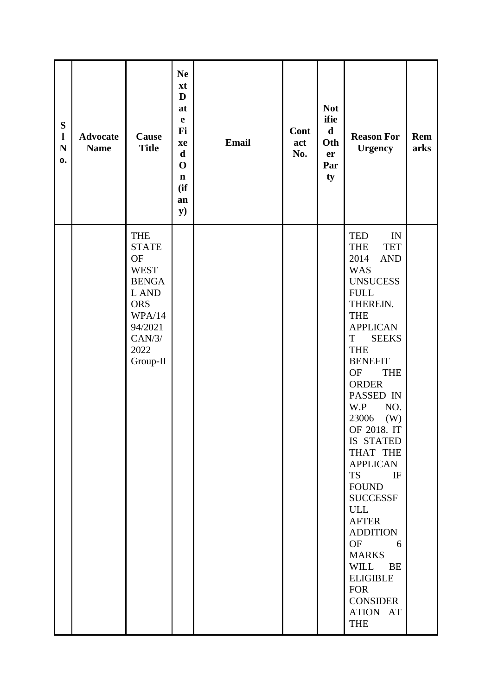| ${\bf S}$<br>$\mathbf{l}$<br>$\mathbf N$<br>$\mathbf{0}$ | <b>Advocate</b><br><b>Name</b> | Cause<br><b>Title</b>                                                                                                                            | <b>Ne</b><br>xt<br>D<br>at<br>$\mathbf e$<br>Fi<br>xe<br>$\mathbf d$<br>$\mathbf 0$<br>$\mathbf n$<br>(if)<br>an<br><b>y</b> ) | Email | Cont<br>act<br>No. | <b>Not</b><br>ifie<br>$\mathbf d$<br>Oth<br>er<br>Par<br>ty | <b>Reason For</b><br><b>Urgency</b>                                                                                                                                                                                                                                                                                                                                                                                                                                                                                                                                                                                    | Rem<br>arks |
|----------------------------------------------------------|--------------------------------|--------------------------------------------------------------------------------------------------------------------------------------------------|--------------------------------------------------------------------------------------------------------------------------------|-------|--------------------|-------------------------------------------------------------|------------------------------------------------------------------------------------------------------------------------------------------------------------------------------------------------------------------------------------------------------------------------------------------------------------------------------------------------------------------------------------------------------------------------------------------------------------------------------------------------------------------------------------------------------------------------------------------------------------------------|-------------|
|                                                          |                                | <b>THE</b><br><b>STATE</b><br><b>OF</b><br><b>WEST</b><br><b>BENGA</b><br>L AND<br><b>ORS</b><br>WPA/14<br>94/2021<br>CAN/3/<br>2022<br>Group-II |                                                                                                                                |       |                    |                                                             | <b>TED</b><br>$\ensuremath{\text{IN}}$<br><b>TET</b><br><b>THE</b><br>2014<br><b>AND</b><br><b>WAS</b><br><b>UNSUCESS</b><br><b>FULL</b><br>THEREIN.<br><b>THE</b><br><b>APPLICAN</b><br>T<br><b>SEEKS</b><br><b>THE</b><br><b>BENEFIT</b><br><b>OF</b><br><b>THE</b><br><b>ORDER</b><br>PASSED IN<br>W.P<br>NO.<br>23006<br>(W)<br>OF 2018. IT<br>IS STATED<br>THAT THE<br><b>APPLICAN</b><br><b>TS</b><br>IF<br><b>FOUND</b><br><b>SUCCESSF</b><br><b>ULL</b><br><b>AFTER</b><br><b>ADDITION</b><br>OF<br>6<br><b>MARKS</b><br>WILL BE<br><b>ELIGIBLE</b><br><b>FOR</b><br><b>CONSIDER</b><br>ATION AT<br><b>THE</b> |             |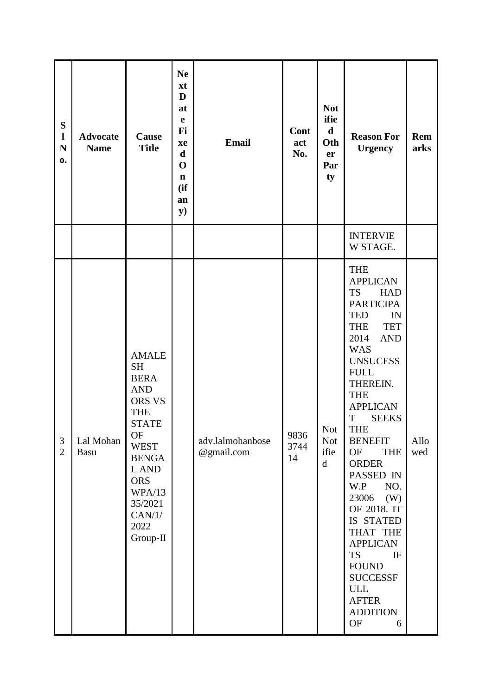| ${\bf S}$<br>$\mathbf{l}$<br>N<br>$\mathbf{0}$ . | <b>Advocate</b><br><b>Name</b> | Cause<br><b>Title</b>                                                                                                                                                                                                       | <b>Ne</b><br>xt<br>D<br>at<br>$\mathbf e$<br>Fi<br>xe<br>$\mathbf d$<br>$\mathbf 0$<br>$\mathbf n$<br>(if)<br>an<br>${\bf y})$ | <b>Email</b>                   | Cont<br>act<br>No. | <b>Not</b><br>ifie<br>d<br>Oth<br>er<br>Par<br>ty | <b>Reason For</b><br><b>Urgency</b>                                                                                                                                                                                                                                                                                                                                                                                                                                                                                                                                            | Rem<br>arks |
|--------------------------------------------------|--------------------------------|-----------------------------------------------------------------------------------------------------------------------------------------------------------------------------------------------------------------------------|--------------------------------------------------------------------------------------------------------------------------------|--------------------------------|--------------------|---------------------------------------------------|--------------------------------------------------------------------------------------------------------------------------------------------------------------------------------------------------------------------------------------------------------------------------------------------------------------------------------------------------------------------------------------------------------------------------------------------------------------------------------------------------------------------------------------------------------------------------------|-------------|
|                                                  |                                |                                                                                                                                                                                                                             |                                                                                                                                |                                |                    |                                                   | <b>INTERVIE</b><br>W STAGE.                                                                                                                                                                                                                                                                                                                                                                                                                                                                                                                                                    |             |
| 3<br>$\overline{2}$                              | Lal Mohan<br>Basu              | <b>AMALE</b><br><b>SH</b><br><b>BERA</b><br><b>AND</b><br><b>ORS VS</b><br><b>THE</b><br><b>STATE</b><br><b>OF</b><br><b>WEST</b><br><b>BENGA</b><br>L AND<br><b>ORS</b><br>WPA/13<br>35/2021<br>CAN/1/<br>2022<br>Group-II |                                                                                                                                | adv.lalmohanbose<br>@gmail.com | 9836<br>3744<br>14 | <b>Not</b><br><b>Not</b><br>ifie<br>$\mathbf d$   | <b>THE</b><br><b>APPLICAN</b><br><b>TS</b><br><b>HAD</b><br><b>PARTICIPA</b><br><b>TED</b><br>IN<br><b>TET</b><br><b>THE</b><br><b>AND</b><br>2014<br><b>WAS</b><br><b>UNSUCESS</b><br><b>FULL</b><br>THEREIN.<br><b>THE</b><br><b>APPLICAN</b><br><b>SEEKS</b><br>T<br><b>THE</b><br><b>BENEFIT</b><br><b>OF</b><br><b>THE</b><br><b>ORDER</b><br>PASSED IN<br>W.P<br>NO.<br>23006<br>(W)<br>OF 2018. IT<br>IS STATED<br>THAT THE<br><b>APPLICAN</b><br><b>TS</b><br>IF<br><b>FOUND</b><br><b>SUCCESSF</b><br><b>ULL</b><br><b>AFTER</b><br><b>ADDITION</b><br><b>OF</b><br>6 | Allo<br>wed |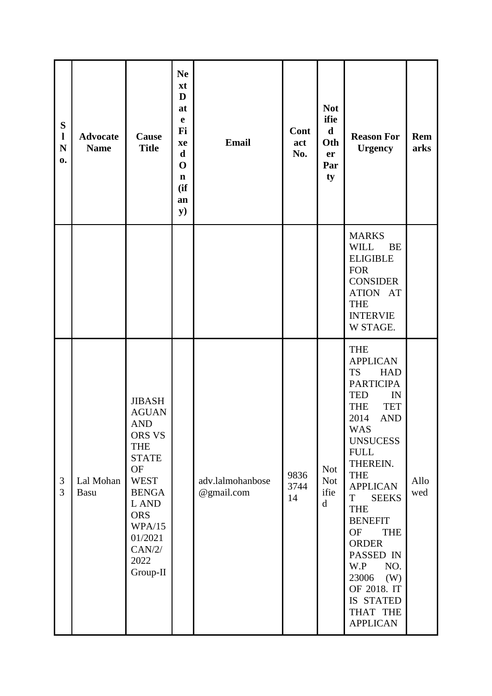| S<br>$\mathbf{l}$<br>$\mathbf N$<br>0. | <b>Advocate</b><br><b>Name</b> | Cause<br><b>Title</b>                                                                                                                                                                                            | <b>Ne</b><br>xt<br>D<br>at<br>$\mathbf e$<br>Fi<br>xe<br>$\mathbf d$<br>$\mathbf 0$<br>$\mathbf n$<br>(ii)<br>an<br>$\mathbf{y})$ | <b>Email</b>                   | Cont<br>act<br>No. | <b>Not</b><br>ifie<br>$\mathbf d$<br>Oth<br>er<br>Par<br>ty | <b>Reason For</b><br><b>Urgency</b>                                                                                                                                                                                                                                                                                                                                                                                                                   | <b>Rem</b><br>arks |
|----------------------------------------|--------------------------------|------------------------------------------------------------------------------------------------------------------------------------------------------------------------------------------------------------------|-----------------------------------------------------------------------------------------------------------------------------------|--------------------------------|--------------------|-------------------------------------------------------------|-------------------------------------------------------------------------------------------------------------------------------------------------------------------------------------------------------------------------------------------------------------------------------------------------------------------------------------------------------------------------------------------------------------------------------------------------------|--------------------|
|                                        |                                |                                                                                                                                                                                                                  |                                                                                                                                   |                                |                    |                                                             | <b>MARKS</b><br><b>WILL</b><br>BE<br><b>ELIGIBLE</b><br><b>FOR</b><br><b>CONSIDER</b><br>ATION AT<br><b>THE</b><br><b>INTERVIE</b><br>W STAGE.                                                                                                                                                                                                                                                                                                        |                    |
| $\mathfrak{Z}$<br>$\overline{3}$       | Lal Mohan<br>Basu              | <b>JIBASH</b><br><b>AGUAN</b><br><b>AND</b><br><b>ORS VS</b><br><b>THE</b><br><b>STATE</b><br><b>OF</b><br><b>WEST</b><br><b>BENGA</b><br>L AND<br><b>ORS</b><br>WPA/15<br>01/2021<br>CAN/2/<br>2022<br>Group-II |                                                                                                                                   | adv.lalmohanbose<br>@gmail.com | 9836<br>3744<br>14 | <b>Not</b><br><b>Not</b><br>ifie<br>d                       | <b>THE</b><br><b>APPLICAN</b><br><b>TS</b><br><b>HAD</b><br><b>PARTICIPA</b><br><b>TED</b><br>IN<br><b>TET</b><br><b>THE</b><br>2014<br><b>AND</b><br><b>WAS</b><br><b>UNSUCESS</b><br><b>FULL</b><br>THEREIN.<br><b>THE</b><br><b>APPLICAN</b><br>T<br><b>SEEKS</b><br><b>THE</b><br><b>BENEFIT</b><br><b>OF</b><br><b>THE</b><br><b>ORDER</b><br>PASSED IN<br>W.P<br>NO.<br>23006<br>(W)<br>OF 2018. IT<br>IS STATED<br>THAT THE<br><b>APPLICAN</b> | Allo<br>wed        |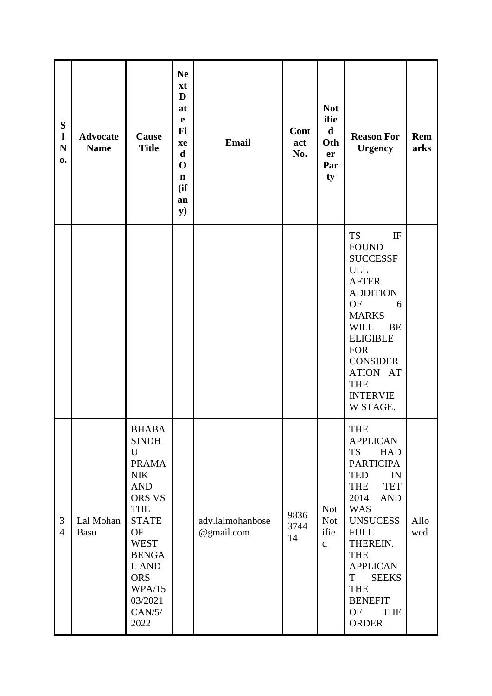| ${\bf S}$<br>$\mathbf{l}$<br>N<br>0. | <b>Advocate</b><br><b>Name</b> | Cause<br><b>Title</b>                                                                                                                                                                                                           | <b>Ne</b><br>xt<br>D<br>at<br>e<br>Fi<br>xe<br>$\mathbf d$<br>$\mathbf 0$<br>$\mathbf n$<br>(ii)<br>an<br>$\mathbf{y})$ | <b>Email</b>                   | Cont<br>act<br>No. | <b>Not</b><br>ifie<br>$\mathbf d$<br>Oth<br>er<br>Par<br>ty | <b>Reason For</b><br><b>Urgency</b>                                                                                                                                                                                                                                                                                                      | Rem<br>arks |
|--------------------------------------|--------------------------------|---------------------------------------------------------------------------------------------------------------------------------------------------------------------------------------------------------------------------------|-------------------------------------------------------------------------------------------------------------------------|--------------------------------|--------------------|-------------------------------------------------------------|------------------------------------------------------------------------------------------------------------------------------------------------------------------------------------------------------------------------------------------------------------------------------------------------------------------------------------------|-------------|
|                                      |                                |                                                                                                                                                                                                                                 |                                                                                                                         |                                |                    |                                                             | <b>TS</b><br>$\rm I\!F$<br><b>FOUND</b><br><b>SUCCESSF</b><br><b>ULL</b><br><b>AFTER</b><br><b>ADDITION</b><br><b>OF</b><br>6<br><b>MARKS</b><br><b>WILL</b><br><b>BE</b><br><b>ELIGIBLE</b><br><b>FOR</b><br><b>CONSIDER</b><br>ATION AT<br><b>THE</b><br><b>INTERVIE</b><br>W STAGE.                                                   |             |
| 3<br>$\overline{4}$                  | Lal Mohan<br>Basu              | <b>BHABA</b><br><b>SINDH</b><br>U<br><b>PRAMA</b><br><b>NIK</b><br><b>AND</b><br>ORS VS<br><b>THE</b><br><b>STATE</b><br><b>OF</b><br><b>WEST</b><br><b>BENGA</b><br>L AND<br><b>ORS</b><br>WPA/15<br>03/2021<br>CAN/5/<br>2022 |                                                                                                                         | adv.lalmohanbose<br>@gmail.com | 9836<br>3744<br>14 | <b>Not</b><br><b>Not</b><br>ifie<br>$\mathbf d$             | <b>THE</b><br><b>APPLICAN</b><br><b>TS</b><br><b>HAD</b><br><b>PARTICIPA</b><br><b>TED</b><br>IN<br><b>TET</b><br><b>THE</b><br>2014<br><b>AND</b><br><b>WAS</b><br><b>UNSUCESS</b><br><b>FULL</b><br>THEREIN.<br><b>THE</b><br><b>APPLICAN</b><br>T<br><b>SEEKS</b><br><b>THE</b><br><b>BENEFIT</b><br><b>OF</b><br><b>THE</b><br>ORDER | Allo<br>wed |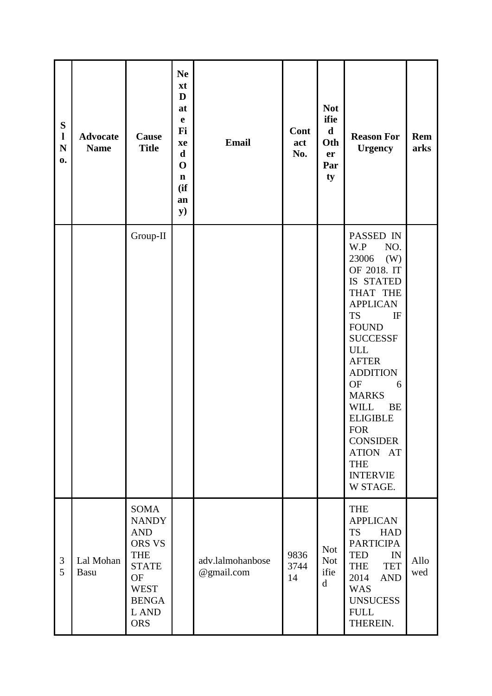| ${\bf S}$<br>$\mathbf{l}$<br>$\mathbf N$<br>0. | <b>Advocate</b><br><b>Name</b> | Cause<br><b>Title</b>                                                                                                                                       | <b>Ne</b><br>xt<br>D<br>at<br>$\mathbf e$<br>Fi<br>xe<br>$\mathbf d$<br>$\mathbf 0$<br>$\mathbf n$<br>(if)<br>an<br>${\bf y})$ | <b>Email</b>                   | Cont<br>act<br>No. | <b>Not</b><br>ifie<br>$\mathbf d$<br>Oth<br>er<br>Par<br>ty | <b>Reason For</b><br><b>Urgency</b>                                                                                                                                                                                                                                                                                                                                                   | Rem<br>arks |
|------------------------------------------------|--------------------------------|-------------------------------------------------------------------------------------------------------------------------------------------------------------|--------------------------------------------------------------------------------------------------------------------------------|--------------------------------|--------------------|-------------------------------------------------------------|---------------------------------------------------------------------------------------------------------------------------------------------------------------------------------------------------------------------------------------------------------------------------------------------------------------------------------------------------------------------------------------|-------------|
|                                                |                                | Group-II                                                                                                                                                    |                                                                                                                                |                                |                    |                                                             | PASSED IN<br>W.P<br>NO.<br>23006<br>(W)<br>OF 2018. IT<br>IS STATED<br>THAT THE<br><b>APPLICAN</b><br><b>TS</b><br>IF<br><b>FOUND</b><br><b>SUCCESSF</b><br><b>ULL</b><br><b>AFTER</b><br><b>ADDITION</b><br><b>OF</b><br>6<br><b>MARKS</b><br><b>WILL</b><br><b>BE</b><br><b>ELIGIBLE</b><br>${\rm FOR}$<br><b>CONSIDER</b><br>ATION AT<br><b>THE</b><br><b>INTERVIE</b><br>W STAGE. |             |
| $\mathfrak{Z}$<br>5                            | Lal Mohan<br>Basu              | <b>SOMA</b><br><b>NANDY</b><br><b>AND</b><br><b>ORS VS</b><br><b>THE</b><br><b>STATE</b><br><b>OF</b><br><b>WEST</b><br><b>BENGA</b><br>L AND<br><b>ORS</b> |                                                                                                                                | adv.lalmohanbose<br>@gmail.com | 9836<br>3744<br>14 | <b>Not</b><br><b>Not</b><br>ifie<br>$\mathbf d$             | <b>THE</b><br><b>APPLICAN</b><br><b>TS</b><br><b>HAD</b><br><b>PARTICIPA</b><br><b>TED</b><br>IN<br><b>THE</b><br><b>TET</b><br><b>AND</b><br>2014<br><b>WAS</b><br><b>UNSUCESS</b><br><b>FULL</b><br>THEREIN.                                                                                                                                                                        | Allo<br>wed |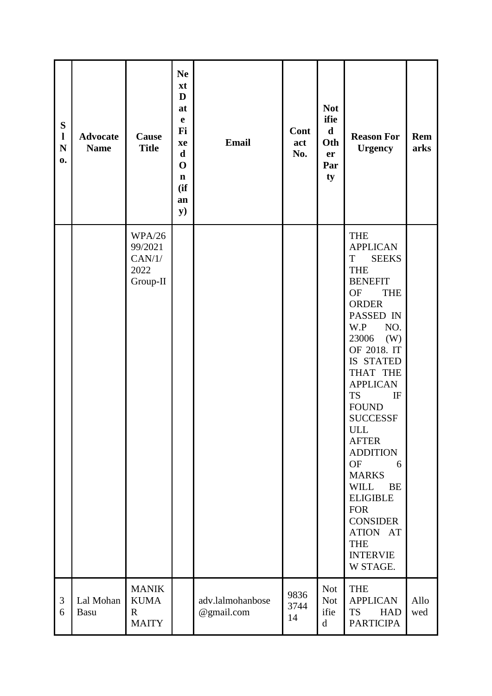| ${\bf S}$<br>$\mathbf{l}$<br>$\mathbf N$<br>$\mathbf{0}$ . | <b>Advocate</b><br><b>Name</b> | Cause<br><b>Title</b>                                      | <b>Ne</b><br>xt<br>D<br>at<br>$\mathbf e$<br>Fi<br>xe<br>$\mathbf d$<br>$\mathbf 0$<br>$\mathbf n$<br>(if)<br>an<br>${\bf y})$ | <b>Email</b>                   | Cont<br>act<br>No. | <b>Not</b><br>ifie<br>$\mathbf d$<br>Oth<br>er<br>Par<br>ty | <b>Reason For</b><br><b>Urgency</b>                                                                                                                                                                                                                                                                                                                                                                                                                                                                                | <b>Rem</b><br>arks |
|------------------------------------------------------------|--------------------------------|------------------------------------------------------------|--------------------------------------------------------------------------------------------------------------------------------|--------------------------------|--------------------|-------------------------------------------------------------|--------------------------------------------------------------------------------------------------------------------------------------------------------------------------------------------------------------------------------------------------------------------------------------------------------------------------------------------------------------------------------------------------------------------------------------------------------------------------------------------------------------------|--------------------|
|                                                            |                                | <b>WPA/26</b><br>99/2021<br>CAN/1/<br>2022<br>Group-II     |                                                                                                                                |                                |                    |                                                             | <b>THE</b><br><b>APPLICAN</b><br>$\mathbf T$<br><b>SEEKS</b><br><b>THE</b><br><b>BENEFIT</b><br><b>OF</b><br><b>THE</b><br><b>ORDER</b><br>PASSED IN<br>W.P<br>NO.<br>23006<br>(W)<br>OF 2018. IT<br>IS STATED<br>THAT THE<br><b>APPLICAN</b><br><b>TS</b><br>IF<br><b>FOUND</b><br><b>SUCCESSF</b><br>${\rm ULL}$<br><b>AFTER</b><br><b>ADDITION</b><br>OF<br>6<br><b>MARKS</b><br><b>BE</b><br>WILL<br><b>ELIGIBLE</b><br><b>FOR</b><br><b>CONSIDER</b><br>ATION AT<br><b>THE</b><br><b>INTERVIE</b><br>W STAGE. |                    |
| 3<br>6                                                     | Lal Mohan<br>Basu              | <b>MANIK</b><br><b>KUMA</b><br>$\mathbf R$<br><b>MAITY</b> |                                                                                                                                | adv.lalmohanbose<br>@gmail.com | 9836<br>3744<br>14 | <b>Not</b><br><b>Not</b><br>ifie<br>$\mathbf d$             | <b>THE</b><br><b>APPLICAN</b><br><b>TS</b><br><b>HAD</b><br><b>PARTICIPA</b>                                                                                                                                                                                                                                                                                                                                                                                                                                       | Allo<br>wed        |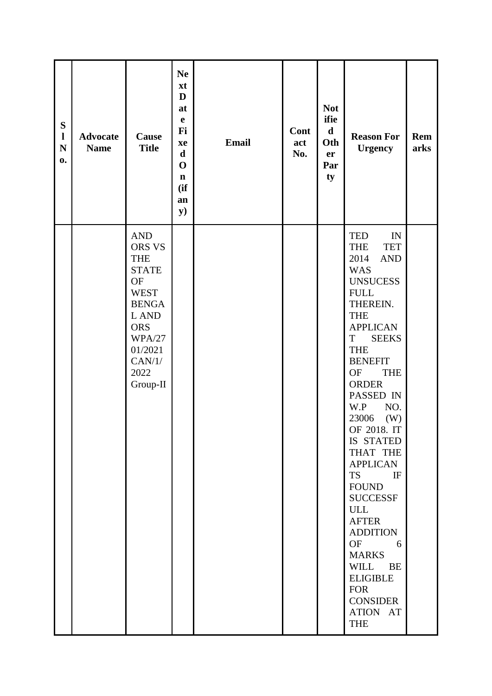| ${\bf S}$<br>$\mathbf{l}$<br>$\mathbf N$<br>$\mathbf{0}$ | <b>Advocate</b><br><b>Name</b> | Cause<br><b>Title</b>                                                                                                                                                           | <b>Ne</b><br>xt<br>D<br>at<br>$\mathbf e$<br>Fi<br>xe<br>$\mathbf d$<br>$\mathbf 0$<br>$\mathbf n$<br>(ii)<br>an<br><b>y</b> ) | Email | Cont<br>act<br>No. | <b>Not</b><br>ifie<br>d<br>Oth<br>er<br>Par<br>ty | <b>Reason For</b><br><b>Urgency</b>                                                                                                                                                                                                                                                                                                                                                                                                                                                                                                                                                                                    | Rem<br>arks |
|----------------------------------------------------------|--------------------------------|---------------------------------------------------------------------------------------------------------------------------------------------------------------------------------|--------------------------------------------------------------------------------------------------------------------------------|-------|--------------------|---------------------------------------------------|------------------------------------------------------------------------------------------------------------------------------------------------------------------------------------------------------------------------------------------------------------------------------------------------------------------------------------------------------------------------------------------------------------------------------------------------------------------------------------------------------------------------------------------------------------------------------------------------------------------------|-------------|
|                                                          |                                | <b>AND</b><br><b>ORS VS</b><br><b>THE</b><br><b>STATE</b><br><b>OF</b><br><b>WEST</b><br><b>BENGA</b><br>L AND<br><b>ORS</b><br>WPA/27<br>01/2021<br>CAN/1/<br>2022<br>Group-II |                                                                                                                                |       |                    |                                                   | <b>TED</b><br>$\ensuremath{\text{IN}}$<br><b>TET</b><br><b>THE</b><br>2014<br><b>AND</b><br><b>WAS</b><br><b>UNSUCESS</b><br><b>FULL</b><br>THEREIN.<br><b>THE</b><br><b>APPLICAN</b><br>T<br><b>SEEKS</b><br><b>THE</b><br><b>BENEFIT</b><br><b>OF</b><br><b>THE</b><br><b>ORDER</b><br>PASSED IN<br>W.P<br>NO.<br>23006<br>(W)<br>OF 2018. IT<br>IS STATED<br>THAT THE<br><b>APPLICAN</b><br><b>TS</b><br>IF<br><b>FOUND</b><br><b>SUCCESSF</b><br><b>ULL</b><br><b>AFTER</b><br><b>ADDITION</b><br>OF<br>6<br><b>MARKS</b><br>WILL BE<br><b>ELIGIBLE</b><br><b>FOR</b><br><b>CONSIDER</b><br>ATION AT<br><b>THE</b> |             |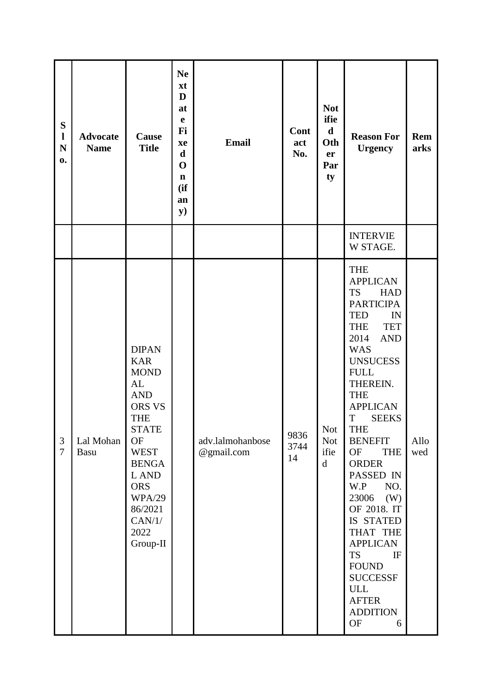| S<br>$\mathbf{l}$<br>N<br>$\mathbf{0}$ . | <b>Advocate</b><br><b>Name</b> | Cause<br><b>Title</b>                                                                                                                                                                                                              | <b>Ne</b><br>xt<br>D<br>at<br>$\mathbf e$<br>Fi<br>xe<br>$\mathbf d$<br>$\mathbf 0$<br>$\mathbf n$<br>(if)<br>an<br>${\bf y})$ | <b>Email</b>                   | Cont<br>act<br>No. | <b>Not</b><br>ifie<br>d<br>Oth<br>er<br>Par<br>ty | <b>Reason For</b><br><b>Urgency</b>                                                                                                                                                                                                                                                                                                                                                                                                                                                                                                                                            | Rem<br>arks |
|------------------------------------------|--------------------------------|------------------------------------------------------------------------------------------------------------------------------------------------------------------------------------------------------------------------------------|--------------------------------------------------------------------------------------------------------------------------------|--------------------------------|--------------------|---------------------------------------------------|--------------------------------------------------------------------------------------------------------------------------------------------------------------------------------------------------------------------------------------------------------------------------------------------------------------------------------------------------------------------------------------------------------------------------------------------------------------------------------------------------------------------------------------------------------------------------------|-------------|
|                                          |                                |                                                                                                                                                                                                                                    |                                                                                                                                |                                |                    |                                                   | <b>INTERVIE</b><br>W STAGE.                                                                                                                                                                                                                                                                                                                                                                                                                                                                                                                                                    |             |
| 3<br>$\overline{7}$                      | Lal Mohan<br>Basu              | <b>DIPAN</b><br><b>KAR</b><br><b>MOND</b><br>AL<br><b>AND</b><br><b>ORS VS</b><br><b>THE</b><br><b>STATE</b><br>OF<br><b>WEST</b><br><b>BENGA</b><br>L AND<br><b>ORS</b><br><b>WPA/29</b><br>86/2021<br>CAN/1/<br>2022<br>Group-II |                                                                                                                                | adv.lalmohanbose<br>@gmail.com | 9836<br>3744<br>14 | <b>Not</b><br><b>Not</b><br>ifie<br>$\mathbf d$   | <b>THE</b><br><b>APPLICAN</b><br><b>TS</b><br><b>HAD</b><br><b>PARTICIPA</b><br><b>TED</b><br>IN<br><b>TET</b><br><b>THE</b><br><b>AND</b><br>2014<br><b>WAS</b><br><b>UNSUCESS</b><br><b>FULL</b><br>THEREIN.<br><b>THE</b><br><b>APPLICAN</b><br><b>SEEKS</b><br>T<br><b>THE</b><br><b>BENEFIT</b><br><b>OF</b><br><b>THE</b><br><b>ORDER</b><br>PASSED IN<br>W.P<br>NO.<br>23006<br>(W)<br>OF 2018. IT<br>IS STATED<br>THAT THE<br><b>APPLICAN</b><br><b>TS</b><br>IF<br><b>FOUND</b><br><b>SUCCESSF</b><br><b>ULL</b><br><b>AFTER</b><br><b>ADDITION</b><br><b>OF</b><br>6 | Allo<br>wed |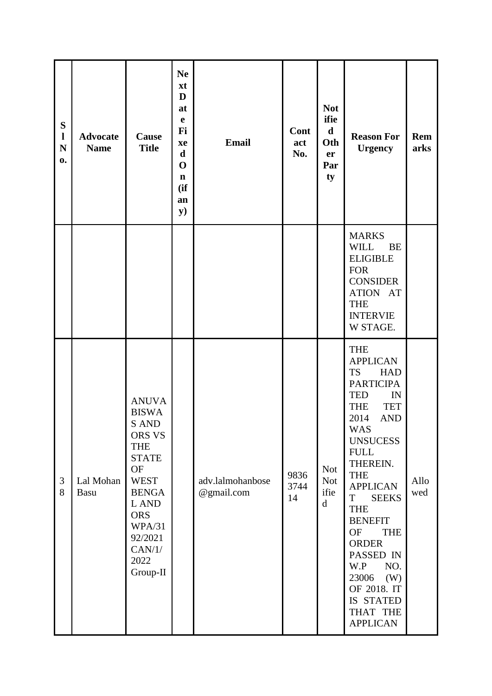| S<br>$\mathbf{l}$<br>$\mathbf N$<br>0. | <b>Advocate</b><br><b>Name</b> | Cause<br><b>Title</b>                                                                                                                                                                                      | <b>Ne</b><br>xt<br>D<br>at<br>$\mathbf e$<br>Fi<br>xe<br>$\mathbf d$<br>$\mathbf 0$<br>$\mathbf n$<br>(ii)<br>an<br>$\mathbf{y})$ | <b>Email</b>                   | Cont<br>act<br>No. | <b>Not</b><br>ifie<br>$\mathbf d$<br>Oth<br>er<br>Par<br>ty | <b>Reason For</b><br><b>Urgency</b>                                                                                                                                                                                                                                                                                                                                                                                                                   | <b>Rem</b><br>arks |
|----------------------------------------|--------------------------------|------------------------------------------------------------------------------------------------------------------------------------------------------------------------------------------------------------|-----------------------------------------------------------------------------------------------------------------------------------|--------------------------------|--------------------|-------------------------------------------------------------|-------------------------------------------------------------------------------------------------------------------------------------------------------------------------------------------------------------------------------------------------------------------------------------------------------------------------------------------------------------------------------------------------------------------------------------------------------|--------------------|
|                                        |                                |                                                                                                                                                                                                            |                                                                                                                                   |                                |                    |                                                             | <b>MARKS</b><br><b>WILL</b><br>BE<br><b>ELIGIBLE</b><br><b>FOR</b><br><b>CONSIDER</b><br>ATION AT<br><b>THE</b><br><b>INTERVIE</b><br>W STAGE.                                                                                                                                                                                                                                                                                                        |                    |
| $\mathfrak{Z}$<br>8                    | Lal Mohan<br>Basu              | <b>ANUVA</b><br><b>BISWA</b><br>S AND<br><b>ORS VS</b><br><b>THE</b><br><b>STATE</b><br><b>OF</b><br><b>WEST</b><br><b>BENGA</b><br>L AND<br><b>ORS</b><br>WPA/31<br>92/2021<br>CAN/1/<br>2022<br>Group-II |                                                                                                                                   | adv.lalmohanbose<br>@gmail.com | 9836<br>3744<br>14 | <b>Not</b><br><b>Not</b><br>ifie<br>d                       | <b>THE</b><br><b>APPLICAN</b><br><b>TS</b><br><b>HAD</b><br><b>PARTICIPA</b><br><b>TED</b><br>IN<br><b>TET</b><br><b>THE</b><br>2014<br><b>AND</b><br><b>WAS</b><br><b>UNSUCESS</b><br><b>FULL</b><br>THEREIN.<br><b>THE</b><br><b>APPLICAN</b><br>T<br><b>SEEKS</b><br><b>THE</b><br><b>BENEFIT</b><br><b>OF</b><br><b>THE</b><br><b>ORDER</b><br>PASSED IN<br>W.P<br>NO.<br>23006<br>(W)<br>OF 2018. IT<br>IS STATED<br>THAT THE<br><b>APPLICAN</b> | Allo<br>wed        |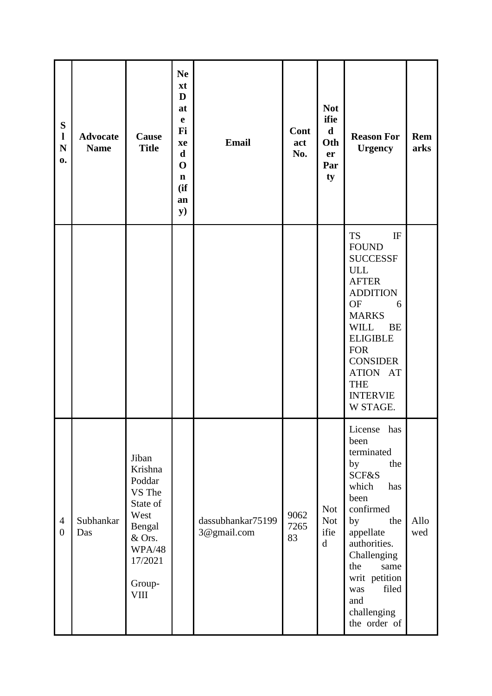| ${\bf S}$<br>$\mathbf{l}$<br>N<br>$\mathbf{0}$ . | <b>Advocate</b><br><b>Name</b> | Cause<br><b>Title</b>                                                                                                             | <b>Ne</b><br>xt<br>D<br>at<br>$\mathbf e$<br>Fi<br>xe<br>$\mathbf d$<br>$\mathbf 0$<br>$\mathbf n$<br>(if)<br>an<br>${\bf y})$ | <b>Email</b>                     | Cont<br>act<br>No. | <b>Not</b><br>ifie<br>$\mathbf d$<br>Oth<br>er<br>Par<br>ty | <b>Reason For</b><br><b>Urgency</b>                                                                                                                                                                                                                              | Rem<br>arks |
|--------------------------------------------------|--------------------------------|-----------------------------------------------------------------------------------------------------------------------------------|--------------------------------------------------------------------------------------------------------------------------------|----------------------------------|--------------------|-------------------------------------------------------------|------------------------------------------------------------------------------------------------------------------------------------------------------------------------------------------------------------------------------------------------------------------|-------------|
|                                                  |                                |                                                                                                                                   |                                                                                                                                |                                  |                    |                                                             | <b>TS</b><br>IF<br><b>FOUND</b><br><b>SUCCESSF</b><br><b>ULL</b><br><b>AFTER</b><br><b>ADDITION</b><br>OF<br>6<br><b>MARKS</b><br><b>WILL</b><br>BE<br><b>ELIGIBLE</b><br><b>FOR</b><br><b>CONSIDER</b><br>ATION AT<br><b>THE</b><br><b>INTERVIE</b><br>W STAGE. |             |
| $\overline{4}$<br>$\boldsymbol{0}$               | Subhankar<br>Das               | Jiban<br>Krishna<br>Poddar<br>VS The<br>State of<br>West<br>Bengal<br>& Ors.<br><b>WPA/48</b><br>17/2021<br>Group-<br><b>VIII</b> |                                                                                                                                | dassubhankar75199<br>3@gmail.com | 9062<br>7265<br>83 | <b>Not</b><br><b>Not</b><br>ifie<br>$\mathbf d$             | License has<br>been<br>terminated<br>by<br>the<br><b>SCF&amp;S</b><br>which<br>has<br>been<br>confirmed<br>the<br>by<br>appellate<br>authorities.<br>Challenging<br>the<br>same<br>writ petition<br>filed<br>was<br>and<br>challenging<br>the order of           | Allo<br>wed |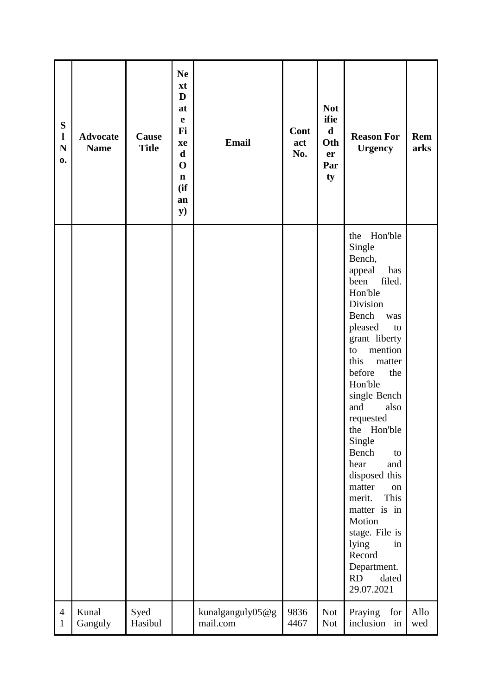| ${\bf S}$<br>$\mathbf{l}$<br>$\mathbf N$<br>$\mathbf{0}$ | <b>Advocate</b><br><b>Name</b> | Cause<br><b>Title</b> | <b>Ne</b><br>xt<br>D<br>at<br>$\mathbf e$<br>Fi<br>xe<br>$\mathbf d$<br>$\mathbf 0$<br>$\mathbf n$<br>(if)<br>an<br><b>y</b> ) | <b>Email</b>                 | Cont<br>act<br>No. | <b>Not</b><br>ifie<br>$\mathbf d$<br>Oth<br>er<br>Par<br>ty | <b>Reason For</b><br><b>Urgency</b>                                                                                                                                                                                                                                                                                                                                                                                                                                                       | <b>Rem</b><br>arks |
|----------------------------------------------------------|--------------------------------|-----------------------|--------------------------------------------------------------------------------------------------------------------------------|------------------------------|--------------------|-------------------------------------------------------------|-------------------------------------------------------------------------------------------------------------------------------------------------------------------------------------------------------------------------------------------------------------------------------------------------------------------------------------------------------------------------------------------------------------------------------------------------------------------------------------------|--------------------|
|                                                          |                                |                       |                                                                                                                                |                              |                    |                                                             | the Hon'ble<br>Single<br>Bench,<br>appeal<br>has<br>filed.<br>been<br>Hon'ble<br>Division<br>Bench<br>was<br>pleased<br>${\rm to}$<br>grant liberty<br>mention<br>to<br>this<br>matter<br>before<br>the<br>Hon'ble<br>single Bench<br>also<br>and<br>requested<br>the Hon'ble<br>Single<br>Bench<br>to<br>hear<br>and<br>disposed this<br>matter<br>on<br>merit.<br>This<br>matter is in<br>Motion<br>stage. File is<br>lying<br>in<br>Record<br>Department.<br>RD<br>dated<br>29.07.2021 |                    |
| $\overline{4}$<br>$\mathbf{1}$                           | Kunal<br>Ganguly               | Syed<br>Hasibul       |                                                                                                                                | kunalganguly05@g<br>mail.com | 9836<br>4467       | <b>Not</b><br><b>Not</b>                                    | Praying<br>for<br>inclusion in                                                                                                                                                                                                                                                                                                                                                                                                                                                            | Allo<br>wed        |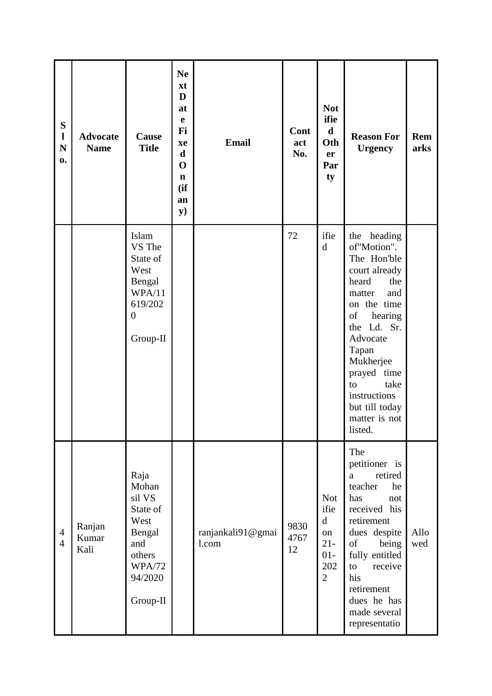| S<br>$\mathbf{l}$<br>$\mathbf N$<br>0. | <b>Advocate</b><br><b>Name</b> | Cause<br><b>Title</b>                                                                                          | <b>Ne</b><br>xt<br>D<br>at<br>$\mathbf e$<br>Fi<br>xe<br>$\mathbf d$<br>$\mathbf 0$<br>$\mathbf n$<br>(ii)<br>an<br>${\bf y})$ | <b>Email</b>               | Cont<br>act<br>No. | <b>Not</b><br>ifie<br>$\mathbf d$<br>Oth<br>er<br>Par<br>ty                         | <b>Reason For</b><br><b>Urgency</b>                                                                                                                                                                                                                                     | Rem<br>arks |
|----------------------------------------|--------------------------------|----------------------------------------------------------------------------------------------------------------|--------------------------------------------------------------------------------------------------------------------------------|----------------------------|--------------------|-------------------------------------------------------------------------------------|-------------------------------------------------------------------------------------------------------------------------------------------------------------------------------------------------------------------------------------------------------------------------|-------------|
|                                        |                                | Islam<br>VS The<br>State of<br>West<br>Bengal<br>WPA/11<br>619/202<br>$\boldsymbol{0}$<br>Group-II             |                                                                                                                                |                            | 72                 | ifie<br>d                                                                           | the heading<br>of"Motion".<br>The Hon'ble<br>court already<br>heard<br>the<br>and<br>matter<br>on the time<br>of<br>hearing<br>the Ld. Sr.<br>Advocate<br>Tapan<br>Mukherjee<br>prayed time<br>take<br>to<br>instructions<br>but till today<br>matter is not<br>listed. |             |
| $\overline{4}$<br>$\overline{4}$       | Ranjan<br>Kumar<br>Kali        | Raja<br>Mohan<br>sil VS<br>State of<br>West<br>Bengal<br>and<br>others<br><b>WPA/72</b><br>94/2020<br>Group-II |                                                                                                                                | ranjankali91@gmai<br>l.com | 9830<br>4767<br>12 | <b>Not</b><br>ifie<br>$\mathbf d$<br>on<br>$21 -$<br>$01-$<br>202<br>$\overline{2}$ | The<br>petitioner is<br>retired<br>$\mathbf a$<br>teacher<br>he<br>not<br>has<br>received his<br>retirement<br>dues despite<br>of<br>being<br>fully entitled<br>receive<br>to<br>his<br>retirement<br>dues he has<br>made several<br>representatio                      | Allo<br>wed |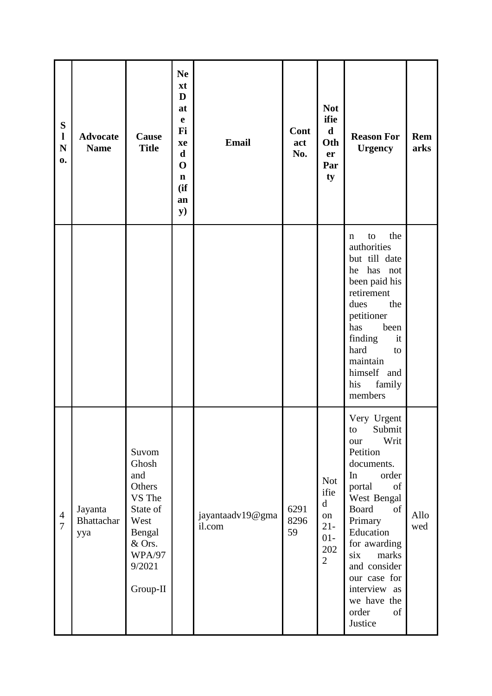| ${\bf S}$<br>$\mathbf{l}$<br>$\mathbf N$<br>0. | <b>Advocate</b><br><b>Name</b> | Cause<br><b>Title</b>                                                                                                    | <b>Ne</b><br>xt<br>D<br>at<br>e<br>Fi<br>xe<br>$\mathbf d$<br>$\mathbf 0$<br>$\mathbf n$<br>(ii)<br>an<br><b>y</b> ) | <b>Email</b>               | Cont<br>act<br>No. | <b>Not</b><br>ifie<br>$\mathbf d$<br>Oth<br>er<br>Par<br>ty                         | <b>Reason For</b><br><b>Urgency</b>                                                                                                                                                                                                                                             | Rem<br>arks |
|------------------------------------------------|--------------------------------|--------------------------------------------------------------------------------------------------------------------------|----------------------------------------------------------------------------------------------------------------------|----------------------------|--------------------|-------------------------------------------------------------------------------------|---------------------------------------------------------------------------------------------------------------------------------------------------------------------------------------------------------------------------------------------------------------------------------|-------------|
|                                                |                                |                                                                                                                          |                                                                                                                      |                            |                    |                                                                                     | the<br>to<br>$\mathbf n$<br>authorities<br>but till date<br>he has not<br>been paid his<br>retirement<br>dues<br>the<br>petitioner<br>has<br>been<br>finding<br>it<br>hard<br>to<br>maintain<br>himself and<br>his<br>family<br>members                                         |             |
| $\overline{4}$<br>$\overline{7}$               | Jayanta<br>Bhattachar<br>yya   | Suvom<br>Ghosh<br>and<br>Others<br>VS The<br>State of<br>West<br>Bengal<br>& Ors.<br><b>WPA/97</b><br>9/2021<br>Group-II |                                                                                                                      | jayantaadv19@gma<br>il.com | 6291<br>8296<br>59 | <b>Not</b><br>ifie<br>$\mathbf d$<br>on<br>$21 -$<br>$01-$<br>202<br>$\overline{2}$ | Very Urgent<br>to Submit<br>Writ<br>our<br>Petition<br>documents.<br>In<br>order<br>portal<br>of<br>West Bengal<br>of<br>Board<br>Primary<br>Education<br>for awarding<br>marks<br>six<br>and consider<br>our case for<br>interview as<br>we have the<br>order<br>of<br>Justice | Allo<br>wed |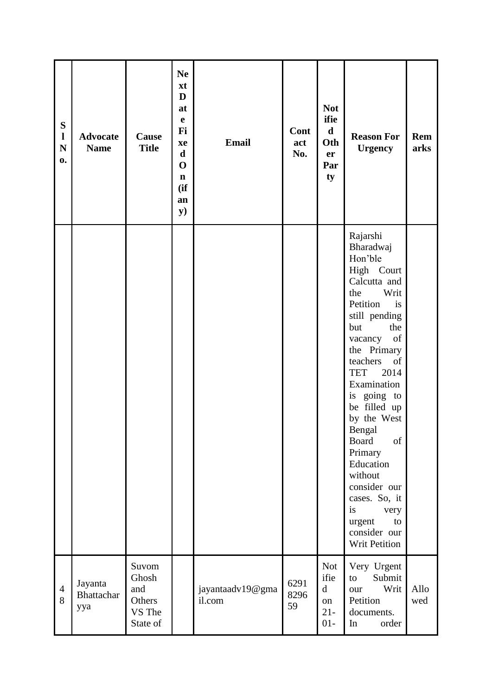| ${\bf S}$<br>$\mathbf{l}$<br>$\mathbf N$<br>0. | <b>Advocate</b><br><b>Name</b> | Cause<br><b>Title</b>                                 | <b>Ne</b><br>xt<br>D<br>at<br>e<br>Fi<br>xe<br>$\mathbf d$<br>$\mathbf 0$<br>$\mathbf n$<br>(ii)<br>an<br>${\bf y})$ | <b>Email</b>               | Cont<br>act<br>No. | <b>Not</b><br>ifie<br>$\mathbf d$<br>Oth<br>er<br>Par<br>ty | <b>Reason For</b><br><b>Urgency</b>                                                                                                                                                                                                                                                                                                                                                                                                    | Rem<br>arks |
|------------------------------------------------|--------------------------------|-------------------------------------------------------|----------------------------------------------------------------------------------------------------------------------|----------------------------|--------------------|-------------------------------------------------------------|----------------------------------------------------------------------------------------------------------------------------------------------------------------------------------------------------------------------------------------------------------------------------------------------------------------------------------------------------------------------------------------------------------------------------------------|-------------|
|                                                |                                |                                                       |                                                                                                                      |                            |                    |                                                             | Rajarshi<br>Bharadwaj<br>Hon'ble<br>High Court<br>Calcutta and<br>the<br>Writ<br>Petition<br>is<br>still pending<br>but<br>the<br>of<br>vacancy<br>the Primary<br>teachers<br>of<br><b>TET</b><br>2014<br>Examination<br>is going to<br>be filled up<br>by the West<br>Bengal<br>of<br><b>Board</b><br>Primary<br>Education<br>without<br>consider our<br>cases. So, it<br>is<br>very<br>urgent<br>to<br>consider our<br>Writ Petition |             |
| $\overline{4}$<br>8                            | Jayanta<br>Bhattachar<br>yya   | Suvom<br>Ghosh<br>and<br>Others<br>VS The<br>State of |                                                                                                                      | jayantaadv19@gma<br>il.com | 6291<br>8296<br>59 | <b>Not</b><br>ifie<br>$\mathbf d$<br>on<br>$21 -$<br>$01-$  | Very Urgent<br>Submit<br>to<br>Writ<br>our<br>Petition<br>documents.<br>In<br>order                                                                                                                                                                                                                                                                                                                                                    | Allo<br>wed |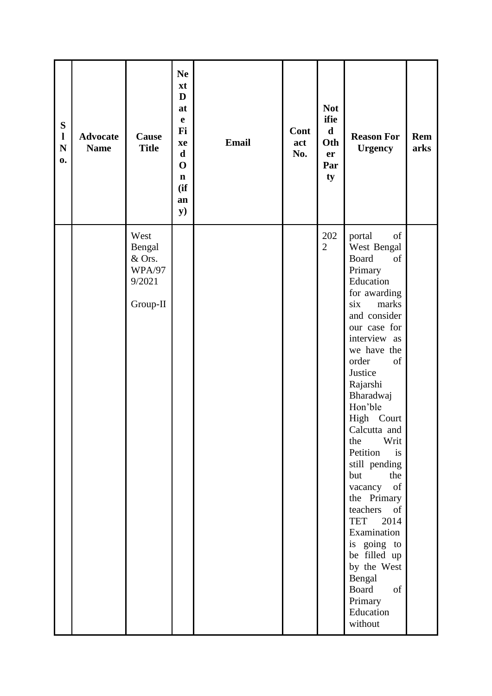| ${\bf S}$<br>$\mathbf{l}$<br>$\mathbf N$<br>$\mathbf{0}$ | <b>Advocate</b><br><b>Name</b> | Cause<br><b>Title</b>                                           | <b>Ne</b><br>xt<br>D<br>at<br>$\mathbf e$<br>Fi<br>xe<br>$\mathbf d$<br>$\mathbf 0$<br>$\mathbf n$<br>(ii)<br>an<br>${\bf y})$ | <b>Email</b> | Cont<br>act<br>No. | <b>Not</b><br>ifie<br>$\mathbf d$<br>Oth<br>er<br>Par<br>ty | <b>Reason For</b><br><b>Urgency</b>                                                                                                                                                                                                                                                                                                                                                                                                                                                                                         | Rem<br>arks |
|----------------------------------------------------------|--------------------------------|-----------------------------------------------------------------|--------------------------------------------------------------------------------------------------------------------------------|--------------|--------------------|-------------------------------------------------------------|-----------------------------------------------------------------------------------------------------------------------------------------------------------------------------------------------------------------------------------------------------------------------------------------------------------------------------------------------------------------------------------------------------------------------------------------------------------------------------------------------------------------------------|-------------|
|                                                          |                                | West<br>Bengal<br>& Ors.<br><b>WPA/97</b><br>9/2021<br>Group-II |                                                                                                                                |              |                    | 202<br>$\overline{2}$                                       | portal<br>of<br>West Bengal<br>Board<br>of<br>Primary<br>Education<br>for awarding<br>six<br>marks<br>and consider<br>our case for<br>interview as<br>we have the<br>order<br>of<br>Justice<br>Rajarshi<br>Bharadwaj<br>Hon'ble<br>High Court<br>Calcutta and<br>Writ<br>the<br>Petition<br>is<br>still pending<br>the<br>but<br>vacancy<br>of<br>the Primary<br>teachers<br>of<br>TET 2014<br>Examination<br>is going to<br>be filled up<br>by the West<br>Bengal<br><b>Board</b><br>of<br>Primary<br>Education<br>without |             |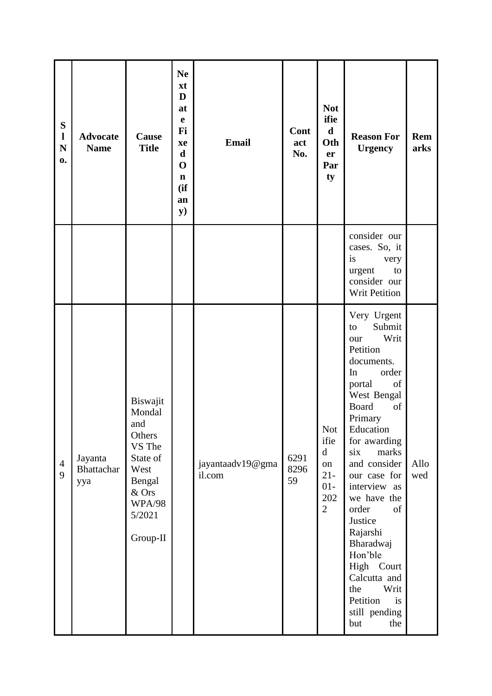| ${\bf S}$<br>$\mathbf{l}$<br>$\mathbf N$<br>0. | <b>Advocate</b><br><b>Name</b> | Cause<br><b>Title</b>                                                                                                       | <b>Ne</b><br>xt<br>D<br>at<br>$\mathbf e$<br>Fi<br>xe<br>$\mathbf d$<br>$\mathbf 0$<br>$\mathbf n$<br>(if)<br>an<br>${\bf y})$ | <b>Email</b>               | Cont<br>act<br>No. | <b>Not</b><br>ifie<br>$\mathbf d$<br>Oth<br>er<br>Par<br>ty                         | <b>Reason For</b><br><b>Urgency</b>                                                                                                                                                                                                                                                                                                                                                                                         | <b>Rem</b><br>arks |
|------------------------------------------------|--------------------------------|-----------------------------------------------------------------------------------------------------------------------------|--------------------------------------------------------------------------------------------------------------------------------|----------------------------|--------------------|-------------------------------------------------------------------------------------|-----------------------------------------------------------------------------------------------------------------------------------------------------------------------------------------------------------------------------------------------------------------------------------------------------------------------------------------------------------------------------------------------------------------------------|--------------------|
|                                                |                                |                                                                                                                             |                                                                                                                                |                            |                    |                                                                                     | consider our<br>cases. So, it<br>is<br>very<br>urgent<br>to<br>consider our<br>Writ Petition                                                                                                                                                                                                                                                                                                                                |                    |
| $\overline{4}$<br>9                            | Jayanta<br>Bhattachar<br>yya   | Biswajit<br>Mondal<br>and<br>Others<br>VS The<br>State of<br>West<br>Bengal<br>& Ors<br><b>WPA/98</b><br>5/2021<br>Group-II |                                                                                                                                | jayantaadv19@gma<br>il.com | 6291<br>8296<br>59 | <b>Not</b><br>ifie<br>$\mathbf d$<br>on<br>$21 -$<br>$01-$<br>202<br>$\overline{2}$ | Very Urgent<br>Submit<br>to<br>Writ<br>our<br>Petition<br>documents.<br>order<br>In<br>portal<br>of<br>West Bengal<br><b>Board</b><br>of<br>Primary<br>Education<br>for awarding<br>six<br>marks<br>and consider<br>our case for<br>interview as<br>we have the<br>order<br>of<br>Justice<br>Rajarshi<br>Bharadwaj<br>Hon'ble<br>High Court<br>Calcutta and<br>the<br>Writ<br>Petition<br>is<br>still pending<br>but<br>the | Allo<br>wed        |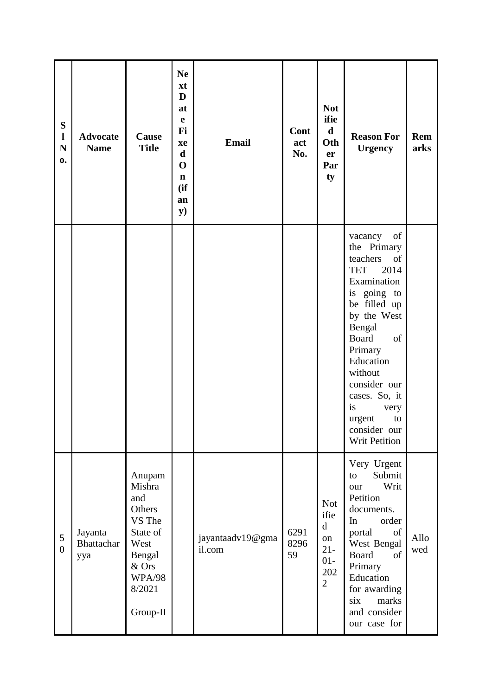| ${\bf S}$<br>$\mathbf{l}$<br>$\mathbf N$<br>0. | <b>Advocate</b><br><b>Name</b> | Cause<br><b>Title</b>                                                                                                     | <b>Ne</b><br>xt<br>D<br>at<br>$\mathbf e$<br>Fi<br>xe<br>$\mathbf d$<br>$\mathbf 0$<br>$\mathbf n$<br>(if)<br>an<br>${\bf y})$ | <b>Email</b>               | Cont<br>act<br>No. | <b>Not</b><br>ifie<br>$\mathbf d$<br>Oth<br>er<br>Par<br>ty                         | <b>Reason For</b><br><b>Urgency</b>                                                                                                                                                                                                                                                                  | Rem<br>arks |
|------------------------------------------------|--------------------------------|---------------------------------------------------------------------------------------------------------------------------|--------------------------------------------------------------------------------------------------------------------------------|----------------------------|--------------------|-------------------------------------------------------------------------------------|------------------------------------------------------------------------------------------------------------------------------------------------------------------------------------------------------------------------------------------------------------------------------------------------------|-------------|
|                                                |                                |                                                                                                                           |                                                                                                                                |                            |                    |                                                                                     | vacancy<br>of<br>the Primary<br>teachers<br>of<br><b>TET</b><br>2014<br>Examination<br>is going to<br>be filled up<br>by the West<br>Bengal<br><b>Board</b><br>of<br>Primary<br>Education<br>without<br>consider our<br>cases. So, it<br>is<br>very<br>urgent<br>to<br>consider our<br>Writ Petition |             |
| 5<br>$\overline{0}$                            | Jayanta<br>Bhattachar<br>yya   | Anupam<br>Mishra<br>and<br>Others<br>VS The<br>State of<br>West<br>Bengal<br>& Ors<br><b>WPA/98</b><br>8/2021<br>Group-II |                                                                                                                                | jayantaadv19@gma<br>il.com | 6291<br>8296<br>59 | <b>Not</b><br>ifie<br>$\mathbf d$<br>on<br>$21 -$<br>$01-$<br>202<br>$\overline{2}$ | Very Urgent<br>Submit<br>to<br>Writ<br>our<br>Petition<br>documents.<br>order<br>In<br>portal<br>of<br>West Bengal<br><b>Board</b><br>of<br>Primary<br>Education<br>for awarding<br>six<br>marks<br>and consider<br>our case for                                                                     | Allo<br>wed |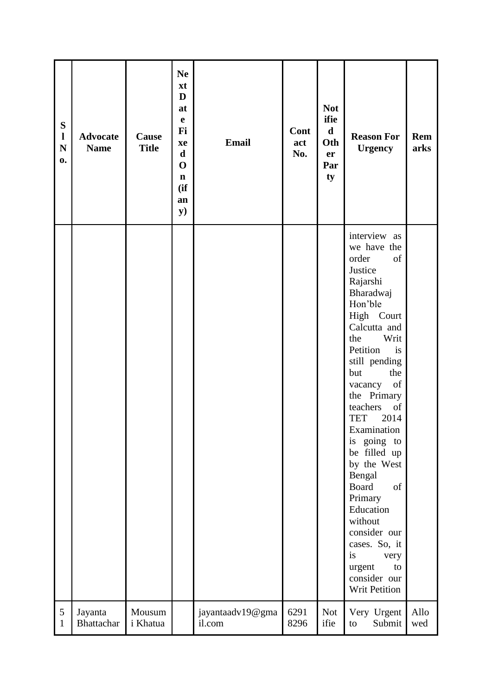| ${\bf S}$<br>$\mathbf{l}$<br>$\mathbf N$<br>$\mathbf{0}$ | <b>Advocate</b><br><b>Name</b> | Cause<br><b>Title</b> | <b>Ne</b><br>xt<br>D<br>at<br>$\mathbf e$<br>Fi<br>xe<br>$\mathbf d$<br>$\mathbf 0$<br>$\mathbf n$<br>(ii)<br>an<br>${\bf y})$ | <b>Email</b>               | Cont<br>act<br>No. | <b>Not</b><br>ifie<br>$\mathbf d$<br>Oth<br>er<br>Par<br>ty | <b>Reason For</b><br><b>Urgency</b>                                                                                                                                                                                                                                                                                                                                                                                                                                                                                                                                                                   | <b>Rem</b><br>arks |
|----------------------------------------------------------|--------------------------------|-----------------------|--------------------------------------------------------------------------------------------------------------------------------|----------------------------|--------------------|-------------------------------------------------------------|-------------------------------------------------------------------------------------------------------------------------------------------------------------------------------------------------------------------------------------------------------------------------------------------------------------------------------------------------------------------------------------------------------------------------------------------------------------------------------------------------------------------------------------------------------------------------------------------------------|--------------------|
|                                                          |                                |                       |                                                                                                                                |                            |                    |                                                             | interview as<br>we have the<br>order<br>of<br>Justice<br>Rajarshi<br>Bharadwaj<br>Hon'ble<br>High Court<br>Calcutta and<br>the<br>Writ<br>is<br>Petition<br>still pending<br>but<br>the<br>$% \left( \left( \mathcal{A},\mathcal{A}\right) \right) =\left( \mathcal{A},\mathcal{A}\right)$ of<br>vacancy<br>the Primary<br>teachers<br>of<br>2014<br><b>TET</b><br>Examination<br>is<br>going<br>to<br>be filled up<br>by the West<br>Bengal<br><b>Board</b><br>of<br>Primary<br>Education<br>without<br>consider our<br>cases. So, it<br>is<br>very<br>urgent<br>to<br>consider our<br>Writ Petition |                    |
| 5<br>$\mathbf{1}$                                        | Jayanta<br>Bhattachar          | Mousum<br>i Khatua    |                                                                                                                                | jayantaadv19@gma<br>il.com | 6291<br>8296       | <b>Not</b><br>ifie                                          | Very Urgent<br>Submit<br>to                                                                                                                                                                                                                                                                                                                                                                                                                                                                                                                                                                           | Allo<br>wed        |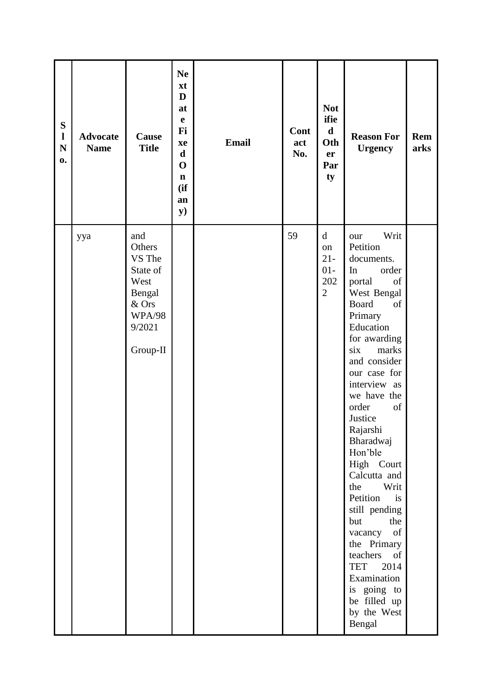| ${\bf S}$<br>$\mathbf{l}$<br>${\bf N}$<br>$\mathbf{0}$ | <b>Advocate</b><br><b>Name</b> | Cause<br><b>Title</b>                                                                                 | <b>Ne</b><br>xt<br>D<br>at<br>$\mathbf e$<br>Fi<br>xe<br>$\mathbf d$<br>$\mathbf 0$<br>$\mathbf n$<br>(ii)<br>an<br><b>y</b> ) | <b>Email</b> | <b>Cont</b><br>act<br>No. | <b>Not</b><br>ifie<br>$\mathbf d$<br>Oth<br>er<br>Par<br>ty   | <b>Reason For</b><br><b>Urgency</b>                                                                                                                                                                                                                                                                                                                                                                                                                                                                                                         | <b>Rem</b><br>arks |
|--------------------------------------------------------|--------------------------------|-------------------------------------------------------------------------------------------------------|--------------------------------------------------------------------------------------------------------------------------------|--------------|---------------------------|---------------------------------------------------------------|---------------------------------------------------------------------------------------------------------------------------------------------------------------------------------------------------------------------------------------------------------------------------------------------------------------------------------------------------------------------------------------------------------------------------------------------------------------------------------------------------------------------------------------------|--------------------|
|                                                        | yya                            | and<br>Others<br>VS The<br>State of<br>West<br>Bengal<br>& Ors<br><b>WPA/98</b><br>9/2021<br>Group-II |                                                                                                                                |              | 59                        | $\mathbf d$<br>on<br>$21 -$<br>$01-$<br>202<br>$\overline{2}$ | Writ<br>our<br>Petition<br>documents.<br>In<br>order<br>of<br>portal<br>West Bengal<br><b>Board</b><br>of<br>Primary<br>Education<br>for awarding<br>six<br>marks<br>and consider<br>our case for<br>interview as<br>we have the<br>order<br>of<br>Justice<br>Rajarshi<br>Bharadwaj<br>Hon'ble<br>High Court<br>Calcutta and<br>the<br>Writ<br>Petition<br>is<br>still pending<br>but<br>the<br>of<br>vacancy<br>the Primary<br>teachers<br>of<br><b>TET</b><br>2014<br>Examination<br>is going to<br>be filled up<br>by the West<br>Bengal |                    |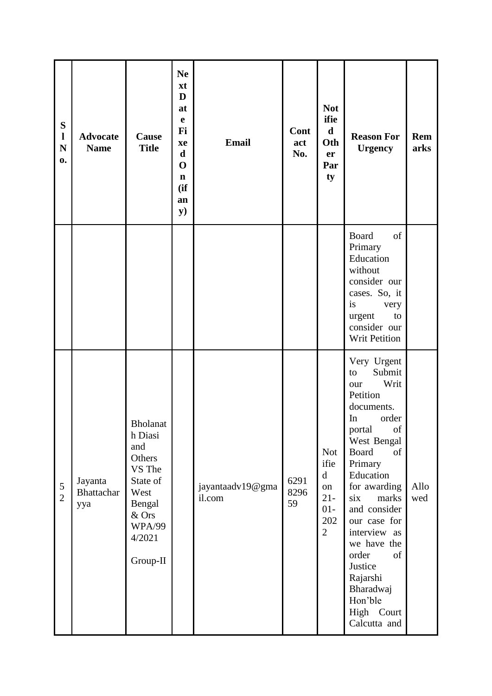| ${\bf S}$<br>$\mathbf{l}$<br>$\mathbf N$<br>0. | <b>Advocate</b><br><b>Name</b> | Cause<br><b>Title</b>                                                                                                               | <b>Ne</b><br>xt<br>D<br>at<br>$\mathbf e$<br>Fi<br>xe<br>$\mathbf d$<br>$\mathbf 0$<br>$\mathbf n$<br>(ii)<br>an<br>${\bf y})$ | <b>Email</b>               | Cont<br>act<br>No. | <b>Not</b><br>ifie<br>$\mathbf d$<br>Oth<br>er<br>Par<br>ty                         | <b>Reason For</b><br><b>Urgency</b>                                                                                                                                                                                                                                                                                                                  | Rem<br>arks |
|------------------------------------------------|--------------------------------|-------------------------------------------------------------------------------------------------------------------------------------|--------------------------------------------------------------------------------------------------------------------------------|----------------------------|--------------------|-------------------------------------------------------------------------------------|------------------------------------------------------------------------------------------------------------------------------------------------------------------------------------------------------------------------------------------------------------------------------------------------------------------------------------------------------|-------------|
|                                                |                                |                                                                                                                                     |                                                                                                                                |                            |                    |                                                                                     | Board<br>of<br>Primary<br>Education<br>without<br>consider our<br>cases. So, it<br>is<br>very<br>urgent<br>${\rm to}$<br>consider our<br>Writ Petition                                                                                                                                                                                               |             |
| $\mathfrak s$<br>$\overline{2}$                | Jayanta<br>Bhattachar<br>yya   | <b>Bholanat</b><br>h Diasi<br>and<br>Others<br>VS The<br>State of<br>West<br>Bengal<br>& Ors<br><b>WPA/99</b><br>4/2021<br>Group-II |                                                                                                                                | jayantaadv19@gma<br>il.com | 6291<br>8296<br>59 | <b>Not</b><br>ifie<br>$\mathbf d$<br>on<br>$21 -$<br>$01-$<br>202<br>$\overline{2}$ | Very Urgent<br>Submit<br>to<br>Writ<br>our<br>Petition<br>documents.<br>In<br>order<br>portal<br>of<br>West Bengal<br>Board<br>of<br>Primary<br>Education<br>for awarding<br>marks<br>six<br>and consider<br>our case for<br>interview as<br>we have the<br>order<br>of<br>Justice<br>Rajarshi<br>Bharadwaj<br>Hon'ble<br>High Court<br>Calcutta and | Allo<br>wed |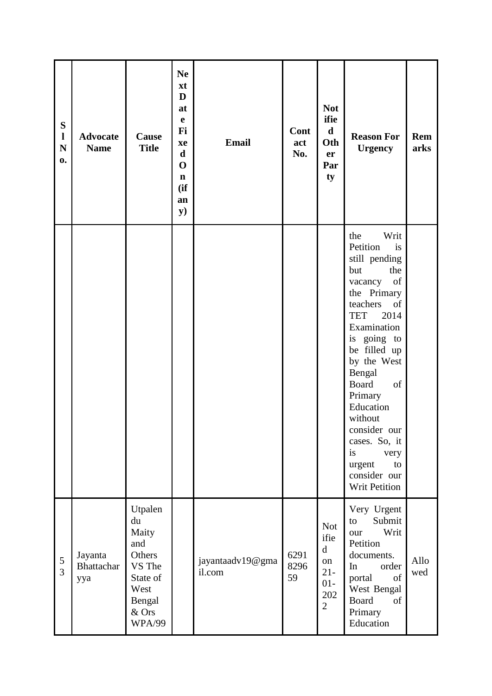| ${\bf S}$<br>$\mathbf{l}$<br>$\mathbf N$<br>0. | <b>Advocate</b><br><b>Name</b>      | Cause<br><b>Title</b>                                                                                     | <b>Ne</b><br>xt<br>D<br>at<br>e<br>Fi<br>xe<br>$\mathbf d$<br>$\mathbf 0$<br>$\mathbf n$<br>(ii)<br>an<br>${\bf y})$ | <b>Email</b>               | Cont<br>act<br>No. | <b>Not</b><br>ifie<br>$\mathbf d$<br>Oth<br>er<br>Par<br>ty                         | <b>Reason For</b><br><b>Urgency</b>                                                                                                                                                                                                                                                                                                                                                                                                                        | Rem<br>arks |
|------------------------------------------------|-------------------------------------|-----------------------------------------------------------------------------------------------------------|----------------------------------------------------------------------------------------------------------------------|----------------------------|--------------------|-------------------------------------------------------------------------------------|------------------------------------------------------------------------------------------------------------------------------------------------------------------------------------------------------------------------------------------------------------------------------------------------------------------------------------------------------------------------------------------------------------------------------------------------------------|-------------|
|                                                |                                     |                                                                                                           |                                                                                                                      |                            |                    |                                                                                     | the<br>Writ<br>Petition<br>is<br>still pending<br>but<br>the<br>$% \left( \left( \mathcal{A},\mathcal{A}\right) \right) =\left( \mathcal{A},\mathcal{A}\right)$ of<br>vacancy<br>the Primary<br>teachers of<br><b>TET</b><br>2014<br>Examination<br>is going to<br>be filled up<br>by the West<br>Bengal<br>Board<br>of<br>Primary<br>Education<br>without<br>consider our<br>cases. So, it<br>is<br>very<br>urgent<br>to<br>consider our<br>Writ Petition |             |
| $\mathfrak s$<br>$\overline{3}$                | Jayanta<br><b>Bhattachar</b><br>yya | Utpalen<br>du<br>Maity<br>and<br>Others<br>VS The<br>State of<br>West<br>Bengal<br>& Ors<br><b>WPA/99</b> |                                                                                                                      | jayantaadv19@gma<br>il.com | 6291<br>8296<br>59 | <b>Not</b><br>ifie<br>$\mathbf d$<br>on<br>$21 -$<br>$01-$<br>202<br>$\overline{2}$ | Very Urgent<br>Submit<br>to<br>Writ<br>our<br>Petition<br>documents.<br>order<br>In<br>portal<br>of<br>West Bengal<br><b>Board</b><br>of<br>Primary<br>Education                                                                                                                                                                                                                                                                                           | Allo<br>wed |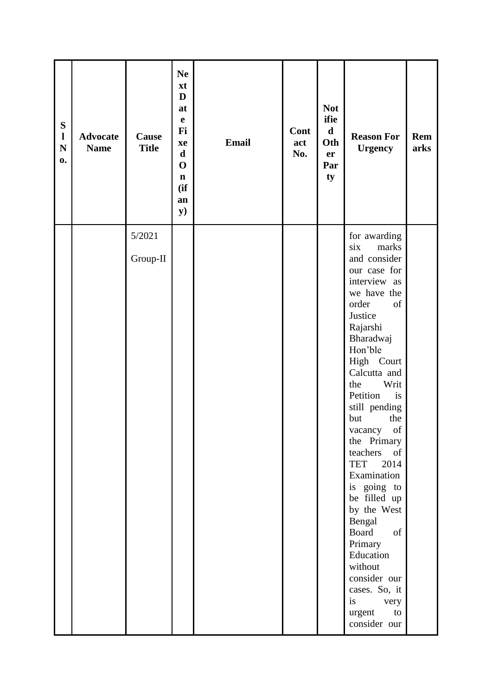| ${\bf S}$<br>$\mathbf{l}$<br>${\bf N}$<br>$\mathbf{0}$ | <b>Advocate</b><br><b>Name</b> | Cause<br><b>Title</b> | <b>Ne</b><br>xt<br>D<br>at<br>$\mathbf e$<br>Fi<br>xe<br>$\mathbf d$<br>$\mathbf 0$<br>$\mathbf n$<br>(if)<br>an<br>${\bf y})$ | <b>Email</b> | Cont<br>act<br>No. | <b>Not</b><br>ifie<br>$\mathbf d$<br>Oth<br>er<br>Par<br>ty | <b>Reason For</b><br><b>Urgency</b>                                                                                                                                                                                                                                                                                                                                                                                                                                                                                                                            | <b>Rem</b><br>arks |
|--------------------------------------------------------|--------------------------------|-----------------------|--------------------------------------------------------------------------------------------------------------------------------|--------------|--------------------|-------------------------------------------------------------|----------------------------------------------------------------------------------------------------------------------------------------------------------------------------------------------------------------------------------------------------------------------------------------------------------------------------------------------------------------------------------------------------------------------------------------------------------------------------------------------------------------------------------------------------------------|--------------------|
|                                                        |                                | 5/2021<br>Group-II    |                                                                                                                                |              |                    |                                                             | for awarding<br>six<br>marks<br>and consider<br>our case for<br>interview as<br>we have the<br>order<br>of<br>Justice<br>Rajarshi<br>Bharadwaj<br>Hon'ble<br>High Court<br>Calcutta and<br>the<br>Writ<br>Petition<br>is<br>still pending<br>but<br>the<br>vacancy of<br>the Primary<br>teachers<br><sub>of</sub><br><b>TET</b><br>2014<br>Examination<br>is going to<br>be filled up<br>by the West<br>Bengal<br>of<br><b>Board</b><br>Primary<br>Education<br>without<br>consider our<br>cases. So, it<br>is<br>very<br>urgent<br>${\rm to}$<br>consider our |                    |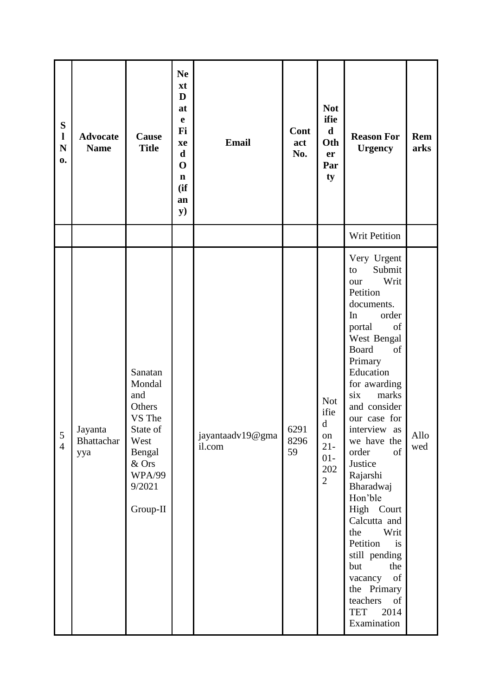| ${\bf S}$<br>$\mathbf{l}$<br>$\mathbf N$<br>0. | <b>Advocate</b><br><b>Name</b> | Cause<br><b>Title</b>                                                                                                      | <b>Ne</b><br>xt<br>D<br>at<br>e<br>Fi<br>xe<br>$\mathbf d$<br>$\mathbf 0$<br>$\mathbf n$<br>(if)<br>an<br><b>y</b> ) | <b>Email</b>               | Cont<br>act<br>No. | <b>Not</b><br>ifie<br>$\mathbf d$<br>Oth<br>er<br>Par<br>ty                                 | <b>Reason For</b><br><b>Urgency</b>                                                                                                                                                                                                                                                                                                                                                                                                                                                                                                                                                                                | Rem<br>arks |
|------------------------------------------------|--------------------------------|----------------------------------------------------------------------------------------------------------------------------|----------------------------------------------------------------------------------------------------------------------|----------------------------|--------------------|---------------------------------------------------------------------------------------------|--------------------------------------------------------------------------------------------------------------------------------------------------------------------------------------------------------------------------------------------------------------------------------------------------------------------------------------------------------------------------------------------------------------------------------------------------------------------------------------------------------------------------------------------------------------------------------------------------------------------|-------------|
|                                                |                                |                                                                                                                            |                                                                                                                      |                            |                    |                                                                                             | Writ Petition                                                                                                                                                                                                                                                                                                                                                                                                                                                                                                                                                                                                      |             |
| 5<br>$\overline{4}$                            | Jayanta<br>Bhattachar<br>yya   | Sanatan<br>Mondal<br>and<br>Others<br>VS The<br>State of<br>West<br>Bengal<br>& Ors<br><b>WPA/99</b><br>9/2021<br>Group-II |                                                                                                                      | jayantaadv19@gma<br>il.com | 6291<br>8296<br>59 | <b>Not</b><br>ifie<br>$\mathbf d$<br>${\bf on}$<br>$21 -$<br>$01-$<br>202<br>$\overline{2}$ | Very Urgent<br>Submit<br>to<br>Writ<br>our<br>Petition<br>documents.<br>order<br>In<br>$% \left( \left( \mathcal{A},\mathcal{A}\right) \right) =\left( \mathcal{A},\mathcal{A}\right)$ of<br>portal<br>West Bengal<br><b>Board</b><br>of<br>Primary<br>Education<br>for awarding<br>six<br>marks<br>and consider<br>our case for<br>interview as<br>we have the<br>order<br>of<br>Justice<br>Rajarshi<br>Bharadwaj<br>Hon'ble<br>High Court<br>Calcutta and<br>the<br>Writ<br>Petition<br>is<br>still pending<br>but<br>the<br>vacancy<br>of<br>the Primary<br>teachers<br>of<br>2014<br><b>TET</b><br>Examination | Allo<br>wed |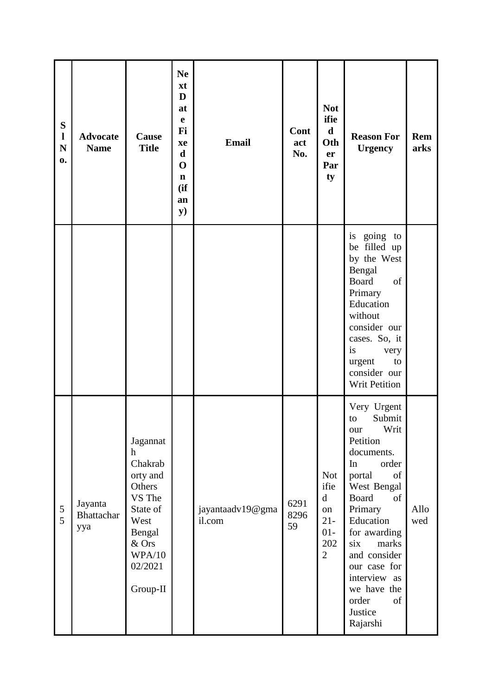| ${\bf S}$<br>$\mathbf{l}$<br>$\mathbf N$<br>0. | <b>Advocate</b><br><b>Name</b> | Cause<br><b>Title</b>                                                                                                                             | <b>Ne</b><br>xt<br>D<br>at<br>$\mathbf e$<br>Fi<br>xe<br>$\mathbf d$<br>$\mathbf 0$<br>$\mathbf n$<br>(ii)<br>an<br>${\bf y})$ | <b>Email</b>               | Cont<br>act<br>No. | <b>Not</b><br>ifie<br>d<br>Oth<br>er<br>Par<br>ty                                   | <b>Reason For</b><br><b>Urgency</b>                                                                                                                                                                                                                                                                                                                                                                   | Rem<br>arks |
|------------------------------------------------|--------------------------------|---------------------------------------------------------------------------------------------------------------------------------------------------|--------------------------------------------------------------------------------------------------------------------------------|----------------------------|--------------------|-------------------------------------------------------------------------------------|-------------------------------------------------------------------------------------------------------------------------------------------------------------------------------------------------------------------------------------------------------------------------------------------------------------------------------------------------------------------------------------------------------|-------------|
|                                                |                                |                                                                                                                                                   |                                                                                                                                |                            |                    |                                                                                     | is going to<br>be filled up<br>by the West<br>Bengal<br><b>Board</b><br>of<br>Primary<br>Education<br>without<br>consider our<br>cases. So, it<br>is<br>very<br>urgent<br>to<br>consider our<br>Writ Petition                                                                                                                                                                                         |             |
| $\mathfrak{S}$<br>5                            | Jayanta<br>Bhattachar<br>yya   | Jagannat<br>$\mathbf h$<br>Chakrab<br>orty and<br>Others<br>VS The<br>State of<br>West<br>Bengal<br>& Ors<br><b>WPA/10</b><br>02/2021<br>Group-II |                                                                                                                                | jayantaadv19@gma<br>il.com | 6291<br>8296<br>59 | <b>Not</b><br>ifie<br>$\mathbf d$<br>on<br>$21 -$<br>$01-$<br>202<br>$\overline{2}$ | Very Urgent<br>Submit<br>to<br>Writ<br>our<br>Petition<br>documents.<br>order<br>In<br>$% \left( \left( \mathcal{A},\mathcal{A}\right) \right) =\left( \mathcal{A},\mathcal{A}\right)$ of<br>portal<br>West Bengal<br><b>Board</b><br>of<br>Primary<br>Education<br>for awarding<br>six<br>marks<br>and consider<br>our case for<br>interview as<br>we have the<br>order<br>of<br>Justice<br>Rajarshi | Allo<br>wed |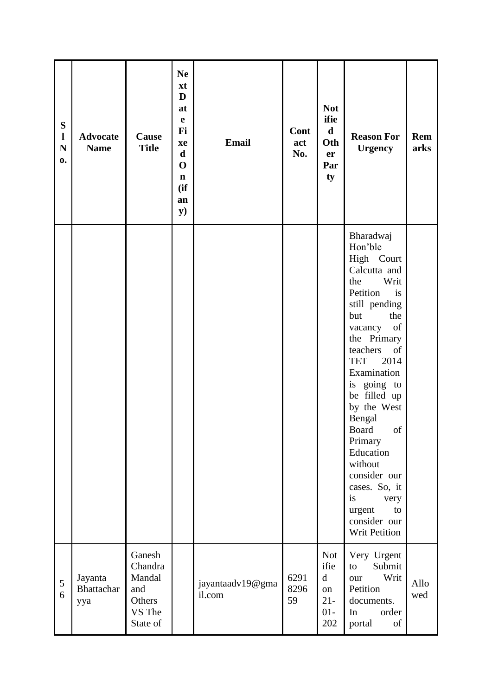| ${\bf S}$<br>$\mathbf{l}$<br>$\mathbf N$<br>0. | <b>Advocate</b><br><b>Name</b> | Cause<br><b>Title</b>                                              | <b>Ne</b><br>xt<br>D<br>at<br>e<br>Fi<br>xe<br>$\mathbf d$<br>$\mathbf 0$<br>$\mathbf n$<br>(ii)<br>an<br>${\bf y})$ | <b>Email</b>               | Cont<br>act<br>No. | <b>Not</b><br>ifie<br>$\mathbf d$<br>Oth<br>er<br>Par<br>ty       | <b>Reason For</b><br><b>Urgency</b>                                                                                                                                                                                                                                                                                                                                                                              | Rem<br>arks |
|------------------------------------------------|--------------------------------|--------------------------------------------------------------------|----------------------------------------------------------------------------------------------------------------------|----------------------------|--------------------|-------------------------------------------------------------------|------------------------------------------------------------------------------------------------------------------------------------------------------------------------------------------------------------------------------------------------------------------------------------------------------------------------------------------------------------------------------------------------------------------|-------------|
|                                                |                                |                                                                    |                                                                                                                      |                            |                    |                                                                   | Bharadwaj<br>Hon'ble<br>High Court<br>Calcutta and<br>Writ<br>the<br>Petition<br>is<br>still pending<br>but<br>the<br>of<br>vacancy<br>the Primary<br>teachers<br>of<br><b>TET</b><br>2014<br>Examination<br>is going to<br>be filled up<br>by the West<br>Bengal<br>Board of<br>Primary<br>Education<br>without<br>consider our<br>cases. So, it<br>is<br>very<br>urgent<br>to<br>consider our<br>Writ Petition |             |
| $\mathfrak s$<br>6                             | Jayanta<br>Bhattachar<br>yya   | Ganesh<br>Chandra<br>Mandal<br>and<br>Others<br>VS The<br>State of |                                                                                                                      | jayantaadv19@gma<br>il.com | 6291<br>8296<br>59 | <b>Not</b><br>ifie<br>$\mathbf d$<br>on<br>$21 -$<br>$01-$<br>202 | Very Urgent<br>Submit<br>to<br>Writ<br>our<br>Petition<br>documents.<br>In<br>order<br>of<br>portal                                                                                                                                                                                                                                                                                                              | Allo<br>wed |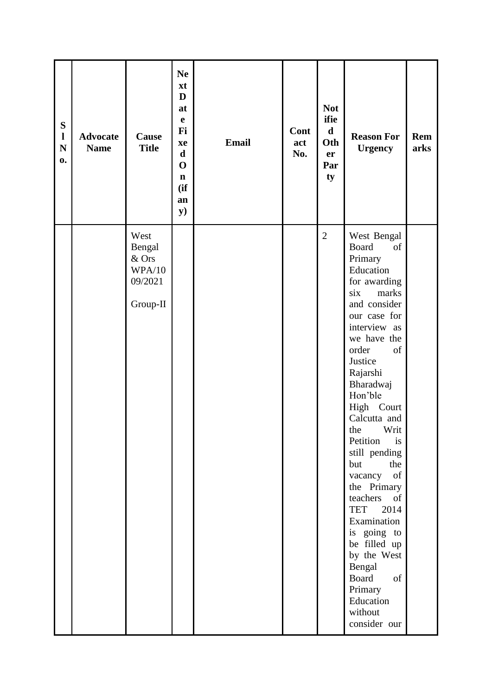| ${\bf S}$<br>$\mathbf{l}$<br>$\mathbf N$<br>$\mathbf{0}$ | <b>Advocate</b><br><b>Name</b> | Cause<br><b>Title</b>                                    | <b>Ne</b><br>xt<br>D<br>at<br>$\mathbf e$<br>Fi<br>xe<br>$\mathbf d$<br>$\mathbf 0$<br>$\mathbf n$<br>(ii)<br>an<br><b>y</b> ) | <b>Email</b> | Cont<br>act<br>No. | <b>Not</b><br>ifie<br>$\mathbf d$<br>Oth<br>er<br>Par<br>ty | <b>Reason For</b><br><b>Urgency</b>                                                                                                                                                                                                                                                                                                                                                                                                                                                                                   | Rem<br>arks |
|----------------------------------------------------------|--------------------------------|----------------------------------------------------------|--------------------------------------------------------------------------------------------------------------------------------|--------------|--------------------|-------------------------------------------------------------|-----------------------------------------------------------------------------------------------------------------------------------------------------------------------------------------------------------------------------------------------------------------------------------------------------------------------------------------------------------------------------------------------------------------------------------------------------------------------------------------------------------------------|-------------|
|                                                          |                                | West<br>Bengal<br>& Ors<br>WPA/10<br>09/2021<br>Group-II |                                                                                                                                |              |                    | $\overline{2}$                                              | West Bengal<br>Board<br>of<br>Primary<br>Education<br>for awarding<br>six<br>marks<br>and consider<br>our case for<br>interview as<br>we have the<br>order<br>of<br>Justice<br>Rajarshi<br>Bharadwaj<br>Hon'ble<br>High Court<br>Calcutta and<br>the Writ<br>Petition<br>is<br>still pending<br>but<br>the<br>vacancy<br>of<br>the Primary<br>teachers of<br>TET 2014<br>Examination<br>is going to<br>be filled up<br>by the West<br>Bengal<br><b>Board</b><br>of<br>Primary<br>Education<br>without<br>consider our |             |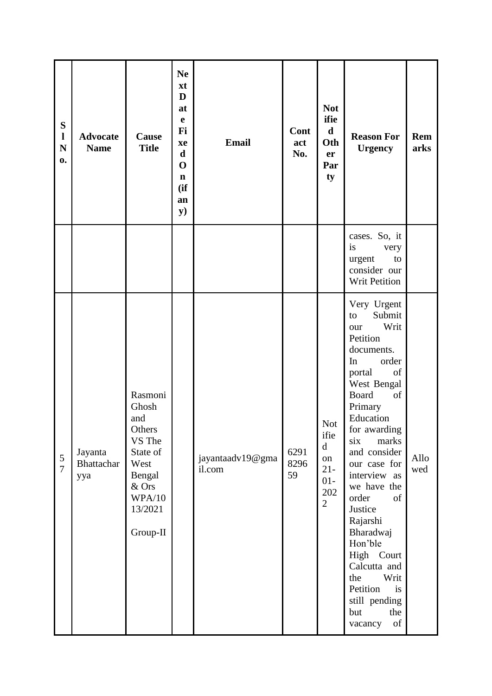| ${\bf S}$<br>$\mathbf{l}$<br>${\bf N}$<br>0. | <b>Advocate</b><br><b>Name</b> | Cause<br><b>Title</b>                                                                                               | <b>Ne</b><br>xt<br>D<br>at<br>$\mathbf e$<br>Fi<br>xe<br>$\mathbf d$<br>$\mathbf 0$<br>$\mathbf n$<br>(if)<br>an<br>${\bf y})$ | <b>Email</b>               | <b>Cont</b><br>act<br>No. | <b>Not</b><br>ifie<br>$\mathbf d$<br>Oth<br>er<br>Par<br>ty                         | <b>Reason For</b><br><b>Urgency</b>                                                                                                                                                                                                                                                                                                                                                                                                          | <b>Rem</b><br>arks |
|----------------------------------------------|--------------------------------|---------------------------------------------------------------------------------------------------------------------|--------------------------------------------------------------------------------------------------------------------------------|----------------------------|---------------------------|-------------------------------------------------------------------------------------|----------------------------------------------------------------------------------------------------------------------------------------------------------------------------------------------------------------------------------------------------------------------------------------------------------------------------------------------------------------------------------------------------------------------------------------------|--------------------|
|                                              |                                |                                                                                                                     |                                                                                                                                |                            |                           |                                                                                     | cases. So, it<br>is<br>very<br>urgent<br>to<br>consider our<br>Writ Petition                                                                                                                                                                                                                                                                                                                                                                 |                    |
| 5<br>$\overline{7}$                          | Jayanta<br>Bhattachar<br>yya   | Rasmoni<br>Ghosh<br>and<br>Others<br>VS The<br>State of<br>West<br>Bengal<br>& Ors<br>WPA/10<br>13/2021<br>Group-II |                                                                                                                                | jayantaadv19@gma<br>il.com | 6291<br>8296<br>59        | <b>Not</b><br>ifie<br>$\mathbf d$<br>on<br>$21 -$<br>$01-$<br>202<br>$\overline{2}$ | Very Urgent<br>Submit<br>to<br>Writ<br>our<br>Petition<br>documents.<br>In<br>order<br>portal<br>of<br>West Bengal<br><b>Board</b><br>of<br>Primary<br>Education<br>for awarding<br>marks<br>six<br>and consider<br>our case for<br>interview as<br>we have the<br>order<br>of<br>Justice<br>Rajarshi<br>Bharadwaj<br>Hon'ble<br>High Court<br>Calcutta and<br>the<br>Writ<br>Petition<br>is<br>still pending<br>but<br>the<br>vacancy<br>of | Allo<br>wed        |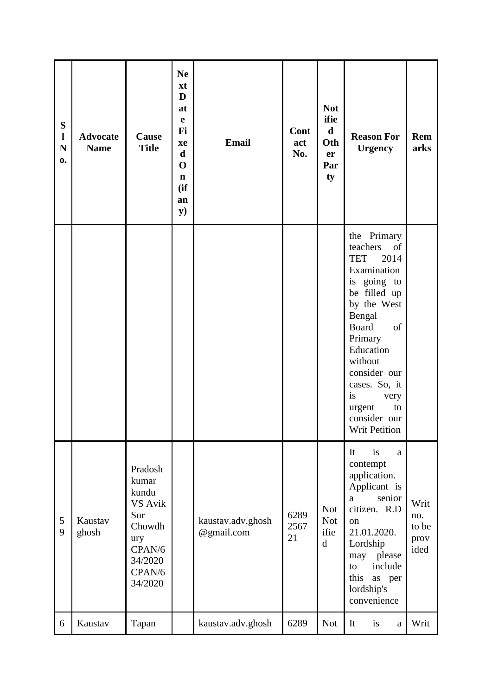| ${\bf S}$<br>$\mathbf{l}$<br>${\bf N}$<br>0. | <b>Advocate</b><br><b>Name</b> | Cause<br><b>Title</b>                                                                                  | <b>Ne</b><br>xt<br>D<br>at<br>e<br>Fi<br>xe<br>$\mathbf d$<br>$\mathbf 0$<br>$\mathbf n$<br>(ii)<br>an<br>${\bf y})$ | <b>Email</b>                    | Cont<br>act<br>No. | <b>Not</b><br>ifie<br>$\mathbf d$<br>Oth<br>er<br>Par<br>ty | <b>Reason For</b><br><b>Urgency</b>                                                                                                                                                                                                                                                 | Rem<br>arks                          |
|----------------------------------------------|--------------------------------|--------------------------------------------------------------------------------------------------------|----------------------------------------------------------------------------------------------------------------------|---------------------------------|--------------------|-------------------------------------------------------------|-------------------------------------------------------------------------------------------------------------------------------------------------------------------------------------------------------------------------------------------------------------------------------------|--------------------------------------|
|                                              |                                |                                                                                                        |                                                                                                                      |                                 |                    |                                                             | the Primary<br>teachers<br>of<br><b>TET</b><br>2014<br>Examination<br>is going to<br>be filled up<br>by the West<br>Bengal<br><b>Board</b><br>of<br>Primary<br>Education<br>without<br>consider our<br>cases. So, it<br>is<br>very<br>urgent<br>to<br>consider our<br>Writ Petition |                                      |
| 5<br>9                                       | Kaustav<br>ghosh               | Pradosh<br>kumar<br>kundu<br>VS Avik<br>Sur<br>Chowdh<br>ury<br>CPAN/6<br>34/2020<br>CPAN/6<br>34/2020 |                                                                                                                      | kaustav.adv.ghosh<br>@gmail.com | 6289<br>2567<br>21 | <b>Not</b><br><b>Not</b><br>ifie<br>$\mathbf d$             | It<br>is<br>a<br>contempt<br>application.<br>Applicant is<br>senior<br>a<br>citizen. R.D<br>on<br>21.01.2020.<br>Lordship<br>please<br>may<br>include<br>to<br>this<br>as per<br>lordship's<br>convenience                                                                          | Writ<br>no.<br>to be<br>prov<br>ided |
| 6                                            | Kaustav                        | Tapan                                                                                                  |                                                                                                                      | kaustav.adv.ghosh               | 6289               | <b>Not</b>                                                  | It<br>is<br>a                                                                                                                                                                                                                                                                       | Writ                                 |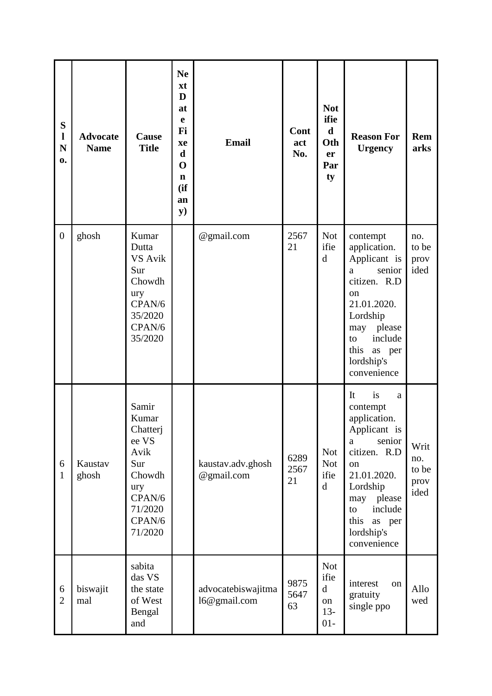| ${\bf S}$<br>$\mathbf{l}$<br>N<br>0. | <b>Advocate</b><br><b>Name</b> | Cause<br><b>Title</b>                                                                                         | <b>Ne</b><br>xt<br>D<br>at<br>e<br>Fi<br>xe<br>$\mathbf d$<br>$\mathbf 0$<br>$\mathbf n$<br>(ii)<br>an<br>${\bf y})$ | <b>Email</b>                       | Cont<br>act<br>No. | <b>Not</b><br>ifie<br>$\mathbf d$<br>Oth<br>er<br>Par<br>ty | <b>Reason For</b><br><b>Urgency</b>                                                                                                                                                                               | Rem<br>arks                          |
|--------------------------------------|--------------------------------|---------------------------------------------------------------------------------------------------------------|----------------------------------------------------------------------------------------------------------------------|------------------------------------|--------------------|-------------------------------------------------------------|-------------------------------------------------------------------------------------------------------------------------------------------------------------------------------------------------------------------|--------------------------------------|
| $\boldsymbol{0}$                     | ghosh                          | Kumar<br>Dutta<br>VS Avik<br>Sur<br>Chowdh<br>ury<br>CPAN/6<br>35/2020<br>CPAN/6<br>35/2020                   |                                                                                                                      | @gmail.com                         | 2567<br>21         | <b>Not</b><br>ifie<br>$\mathbf d$                           | contempt<br>application.<br>Applicant is<br>senior<br>a<br>citizen. R.D<br>on<br>21.01.2020.<br>Lordship<br>please<br>may<br>include<br>to<br>this<br>as per<br>lordship's<br>convenience                         | no.<br>to be<br>prov<br>ided         |
| 6<br>1                               | Kaustav<br>ghosh               | Samir<br>Kumar<br>Chatterj<br>ee VS<br>Avik<br>Sur<br>Chowdh<br>ury<br>CPAN/6<br>71/2020<br>CPAN/6<br>71/2020 |                                                                                                                      | kaustav.adv.ghosh<br>@gmail.com    | 6289<br>2567<br>21 | <b>Not</b><br><b>Not</b><br>ifie<br>$\mathbf d$             | is<br>It<br>a<br>contempt<br>application.<br>Applicant is<br>senior<br>$\rm{a}$<br>citizen. R.D<br>on<br>21.01.2020.<br>Lordship<br>please<br>may<br>include<br>to<br>this<br>as per<br>lordship's<br>convenience | Writ<br>no.<br>to be<br>prov<br>ided |
| 6<br>$\overline{2}$                  | biswajit<br>mal                | sabita<br>das VS<br>the state<br>of West<br>Bengal<br>and                                                     |                                                                                                                      | advocatebiswajitma<br>16@gmail.com | 9875<br>5647<br>63 | <b>Not</b><br>ifie<br>$\mathbf d$<br>on<br>$13 -$<br>$01 -$ | interest<br>on<br>gratuity<br>single ppo                                                                                                                                                                          | Allo<br>wed                          |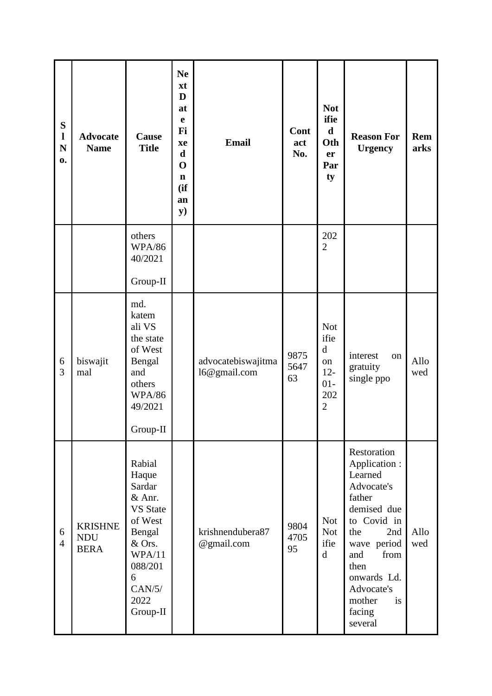| S<br>$\mathbf{l}$<br>N<br>$\mathbf{0}$ | <b>Advocate</b><br><b>Name</b>              | Cause<br><b>Title</b>                                                                                                                         | <b>Ne</b><br>xt<br>D<br>at<br>$\mathbf e$<br>Fi<br>xe<br>$\mathbf d$<br>$\mathbf 0$<br>$\mathbf n$<br>(if)<br>an<br>${\bf y})$ | <b>Email</b>                       | Cont<br>act<br>No. | <b>Not</b><br>ifie<br>$\mathbf d$<br>Oth<br>er<br>Par<br>ty                         | <b>Reason For</b><br><b>Urgency</b>                                                                                                                                                                                 | Rem<br>arks |
|----------------------------------------|---------------------------------------------|-----------------------------------------------------------------------------------------------------------------------------------------------|--------------------------------------------------------------------------------------------------------------------------------|------------------------------------|--------------------|-------------------------------------------------------------------------------------|---------------------------------------------------------------------------------------------------------------------------------------------------------------------------------------------------------------------|-------------|
|                                        |                                             | others<br><b>WPA/86</b><br>40/2021                                                                                                            |                                                                                                                                |                                    |                    | 202<br>$\overline{2}$                                                               |                                                                                                                                                                                                                     |             |
|                                        |                                             | Group-II                                                                                                                                      |                                                                                                                                |                                    |                    |                                                                                     |                                                                                                                                                                                                                     |             |
| $\boldsymbol{6}$<br>3                  | biswajit<br>mal                             | md.<br>katem<br>ali VS<br>the state<br>of West<br>Bengal<br>and<br>others<br><b>WPA/86</b><br>49/2021<br>Group-II                             |                                                                                                                                | advocatebiswajitma<br>16@gmail.com | 9875<br>5647<br>63 | <b>Not</b><br>ifie<br>$\mathbf d$<br>on<br>$12 -$<br>$01-$<br>202<br>$\overline{2}$ | interest<br>on<br>gratuity<br>single ppo                                                                                                                                                                            | Allo<br>wed |
| 6<br>$\overline{4}$                    | <b>KRISHNE</b><br><b>NDU</b><br><b>BERA</b> | Rabial<br>Haque<br>Sardar<br>& Anr.<br><b>VS</b> State<br>of West<br>Bengal<br>& Ors.<br>WPA/11<br>088/201<br>6<br>CAN/5/<br>2022<br>Group-II |                                                                                                                                | krishnendubera87<br>@gmail.com     | 9804<br>4705<br>95 | <b>Not</b><br><b>Not</b><br>ifie<br>$\mathbf d$                                     | Restoration<br>Application :<br>Learned<br>Advocate's<br>father<br>demised due<br>to Covid in<br>the<br>2nd<br>wave period<br>from<br>and<br>then<br>onwards Ld.<br>Advocate's<br>mother<br>is<br>facing<br>several | Allo<br>wed |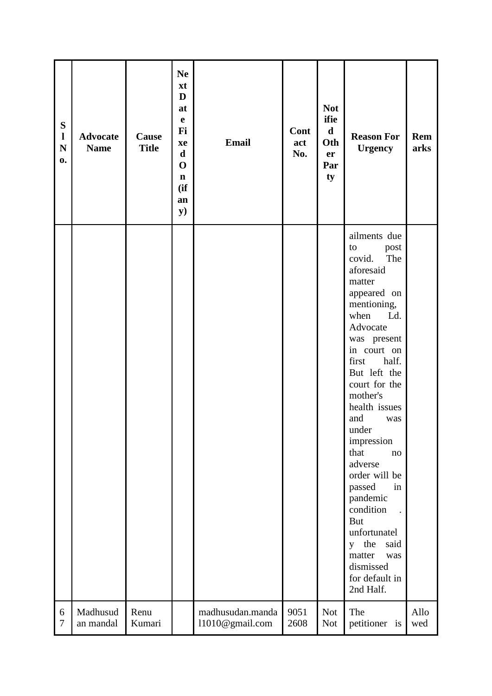| S<br>$\mathbf{l}$<br>$\mathbf N$<br>$\mathbf{0}$ | <b>Advocate</b><br><b>Name</b> | Cause<br><b>Title</b> | <b>Ne</b><br>xt<br>D<br>at<br>$\mathbf e$<br>Fi<br>xe<br>$\mathbf d$<br>$\mathbf 0$<br>$\mathbf n$<br>(ii)<br>an<br>${\bf y})$ | <b>Email</b>                        | Cont<br>act<br>No. | <b>Not</b><br>ifie<br>$\mathbf d$<br>Oth<br>er<br>Par<br>ty | <b>Reason For</b><br><b>Urgency</b>                                                                                                                                                                                                                                                                                                                                                                                                                                                         | Rem<br>arks |
|--------------------------------------------------|--------------------------------|-----------------------|--------------------------------------------------------------------------------------------------------------------------------|-------------------------------------|--------------------|-------------------------------------------------------------|---------------------------------------------------------------------------------------------------------------------------------------------------------------------------------------------------------------------------------------------------------------------------------------------------------------------------------------------------------------------------------------------------------------------------------------------------------------------------------------------|-------------|
|                                                  |                                |                       |                                                                                                                                |                                     |                    |                                                             | ailments due<br>post<br>to<br>covid.<br>The<br>aforesaid<br>matter<br>appeared on<br>mentioning,<br>when<br>Ld.<br>Advocate<br>was present<br>in court on<br>half.<br>first<br>But left the<br>court for the<br>mother's<br>health issues<br>and<br>was<br>under<br>impression<br>that<br>no<br>adverse<br>order will be<br>passed<br>in<br>pandemic<br>condition<br><b>But</b><br>unfortunatel<br>the<br>said<br>$\mathbf{V}$<br>was<br>matter<br>dismissed<br>for default in<br>2nd Half. |             |
| 6<br>$\tau$                                      | Madhusud<br>an mandal          | Renu<br>Kumari        |                                                                                                                                | madhusudan.manda<br>11010@gmail.com | 9051<br>2608       | Not<br><b>Not</b>                                           | The<br>petitioner is                                                                                                                                                                                                                                                                                                                                                                                                                                                                        | Allo<br>wed |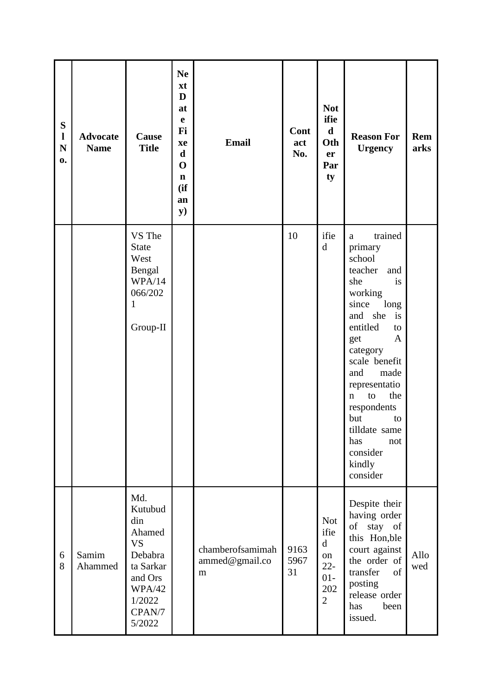| ${\bf S}$<br>$\mathbf{l}$<br>$\mathbf N$<br>0. | <b>Advocate</b><br><b>Name</b> | Cause<br><b>Title</b>                                                                                                   | <b>Ne</b><br>xt<br>D<br>at<br>$\mathbf e$<br>Fi<br>xe<br>$\mathbf d$<br>$\mathbf 0$<br>$\mathbf n$<br>(ii)<br>an<br>${\bf y})$ | <b>Email</b>                            | <b>Cont</b><br>act<br>No. | <b>Not</b><br>ifie<br>$\mathbf d$<br>Oth<br>er<br>Par<br>ty                          | <b>Reason For</b><br><b>Urgency</b>                                                                                                                                                                                                                                                                                                             | Rem<br>arks |
|------------------------------------------------|--------------------------------|-------------------------------------------------------------------------------------------------------------------------|--------------------------------------------------------------------------------------------------------------------------------|-----------------------------------------|---------------------------|--------------------------------------------------------------------------------------|-------------------------------------------------------------------------------------------------------------------------------------------------------------------------------------------------------------------------------------------------------------------------------------------------------------------------------------------------|-------------|
|                                                |                                | VS The<br><b>State</b><br>West<br>Bengal<br>WPA/14<br>066/202<br>1<br>Group-II                                          |                                                                                                                                |                                         | 10                        | ifie<br>$\mathbf d$                                                                  | trained<br>a<br>primary<br>school<br>teacher<br>and<br>she<br>is<br>working<br>long<br>since<br>she<br>and<br>is<br>entitled<br>to<br>$\mathbf{A}$<br>get<br>category<br>scale benefit<br>and<br>made<br>representatio<br>the<br>to<br>$\mathbf n$<br>respondents<br>but<br>to<br>tilldate same<br>has<br>not<br>consider<br>kindly<br>consider |             |
| 6<br>8                                         | Samim<br>Ahammed               | Md.<br>Kutubud<br>din<br>Ahamed<br><b>VS</b><br>Debabra<br>ta Sarkar<br>and Ors<br>WPA/42<br>1/2022<br>CPAN/7<br>5/2022 |                                                                                                                                | chamberofsamimah<br>ammed@gmail.co<br>m | 9163<br>5967<br>31        | <b>Not</b><br>ifie<br>$\mathbf d$<br>on<br>$22 -$<br>$01 -$<br>202<br>$\overline{2}$ | Despite their<br>having order<br>of stay of<br>this Hon, ble<br>court against<br>the order of<br>transfer<br>of<br>posting<br>release order<br>been<br>has<br>issued.                                                                                                                                                                           | Allo<br>wed |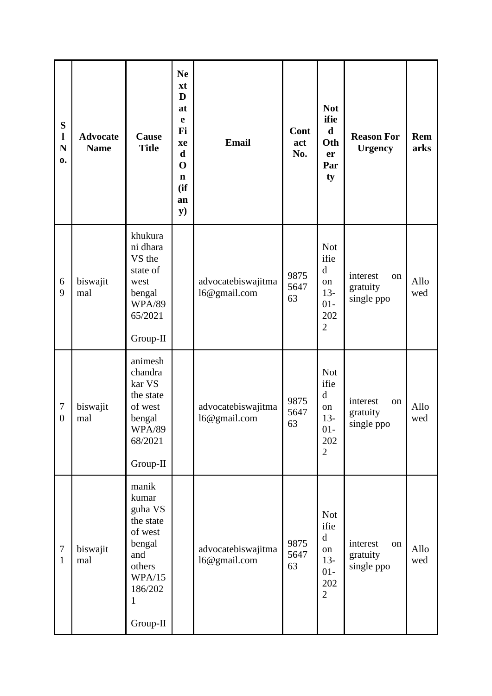| S<br>$\mathbf{l}$<br>N<br>0.       | <b>Advocate</b><br><b>Name</b> | Cause<br><b>Title</b>                                                                                              | <b>Ne</b><br>xt<br>D<br>at<br>e<br>Fi<br>xe<br>d<br>$\mathbf 0$<br>$\mathbf n$<br>(ii)<br>an<br>${\bf y})$ | <b>Email</b>                       | Cont<br>act<br>No. | <b>Not</b><br>ifie<br>$\mathbf d$<br>Oth<br>er<br>Par<br>ty                          | <b>Reason For</b><br><b>Urgency</b>      | <b>Rem</b><br>arks |
|------------------------------------|--------------------------------|--------------------------------------------------------------------------------------------------------------------|------------------------------------------------------------------------------------------------------------|------------------------------------|--------------------|--------------------------------------------------------------------------------------|------------------------------------------|--------------------|
| 6<br>9                             | biswajit<br>mal                | khukura<br>ni dhara<br>VS the<br>state of<br>west<br>bengal<br><b>WPA/89</b><br>65/2021<br>Group-II                |                                                                                                            | advocatebiswajitma<br>16@gmail.com | 9875<br>5647<br>63 | <b>Not</b><br>ifie<br>$\mathbf d$<br>on<br>$13 -$<br>$01 -$<br>202<br>$\overline{2}$ | interest<br>on<br>gratuity<br>single ppo | Allo<br>wed        |
| $\overline{7}$<br>$\boldsymbol{0}$ | biswajit<br>mal                | animesh<br>chandra<br>kar VS<br>the state<br>of west<br>bengal<br><b>WPA/89</b><br>68/2021<br>Group-II             |                                                                                                            | advocatebiswajitma<br>16@gmail.com | 9875<br>5647<br>63 | <b>Not</b><br>ifie<br>$\mathbf d$<br>on<br>$13-$<br>$01 -$<br>202<br>$\overline{2}$  | interest<br>on<br>gratuity<br>single ppo | Allo<br>wed        |
| $\boldsymbol{7}$<br>$\mathbf{1}$   | biswajit<br>mal                | manik<br>kumar<br>guha VS<br>the state<br>of west<br>bengal<br>and<br>others<br>WPA/15<br>186/202<br>1<br>Group-II |                                                                                                            | advocatebiswajitma<br>16@gmail.com | 9875<br>5647<br>63 | <b>Not</b><br>ifie<br>$\mathbf d$<br>on<br>$13-$<br>$01-$<br>202<br>$\overline{2}$   | interest<br>on<br>gratuity<br>single ppo | Allo<br>wed        |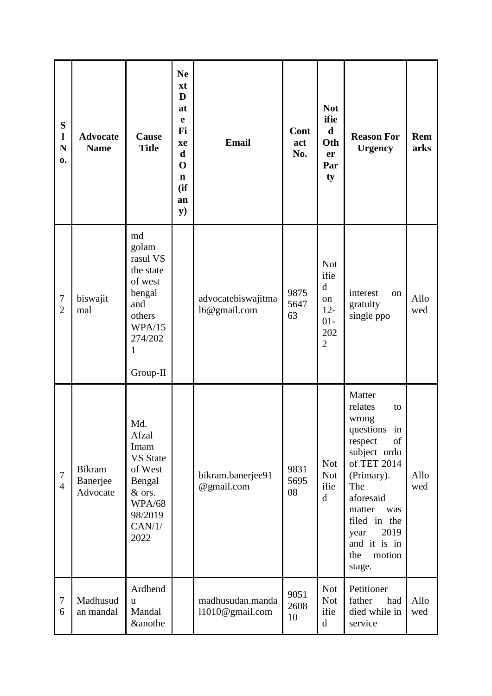| S<br>$\mathbf{l}$<br>N<br>0. | <b>Advocate</b><br><b>Name</b>        | Cause<br><b>Title</b>                                                                                                | <b>Ne</b><br>xt<br>D<br>at<br>$\mathbf e$<br>Fi<br>xe<br>$\mathbf d$<br>$\mathbf 0$<br>$\mathbf n$<br>(ii)<br>an<br>${\bf y})$ | <b>Email</b>                        | Cont<br>act<br>No. | <b>Not</b><br>ifie<br>$\mathbf d$<br>Oth<br>er<br>Par<br>ty                          | <b>Reason For</b><br><b>Urgency</b>                                                                                                                                                                                            | <b>Rem</b><br>arks |
|------------------------------|---------------------------------------|----------------------------------------------------------------------------------------------------------------------|--------------------------------------------------------------------------------------------------------------------------------|-------------------------------------|--------------------|--------------------------------------------------------------------------------------|--------------------------------------------------------------------------------------------------------------------------------------------------------------------------------------------------------------------------------|--------------------|
| $\tau$<br>$\overline{2}$     | biswajit<br>mal                       | md<br>golam<br>rasul VS<br>the state<br>of west<br>bengal<br>and<br>others<br>WPA/15<br>274/202<br>1<br>Group-II     |                                                                                                                                | advocatebiswajitma<br>16@gmail.com  | 9875<br>5647<br>63 | <b>Not</b><br>ifie<br>$\mathbf d$<br>on<br>$12 -$<br>$01 -$<br>202<br>$\overline{2}$ | interest<br>on<br>gratuity<br>single ppo                                                                                                                                                                                       | Allo<br>wed        |
| $\tau$<br>$\overline{4}$     | <b>Bikram</b><br>Banerjee<br>Advocate | Md.<br>Afzal<br>Imam<br><b>VS State</b><br>of West<br>Bengal<br>& ors.<br><b>WPA/68</b><br>98/2019<br>CAN/1/<br>2022 |                                                                                                                                | bikram.banerjee91<br>@gmail.com     | 9831<br>5695<br>08 | <b>Not</b><br><b>Not</b><br>ifie<br>$\mathbf d$                                      | Matter<br>relates<br>to<br>wrong<br>questions in<br>of<br>respect<br>subject urdu<br>of TET 2014<br>(Primary).<br>The<br>aforesaid<br>matter<br>was<br>filed in the<br>2019<br>year<br>and it is in<br>motion<br>the<br>stage. | Allo<br>wed        |
| 7<br>6                       | Madhusud<br>an mandal                 | Ardhend<br>$\mathbf{u}$<br>Mandal<br><b>&amp;anothe</b>                                                              |                                                                                                                                | madhusudan.manda<br>11010@gmail.com | 9051<br>2608<br>10 | <b>Not</b><br><b>Not</b><br>ifie<br>$\mathbf d$                                      | Petitioner<br>father<br>had<br>died while in<br>service                                                                                                                                                                        | Allo<br>wed        |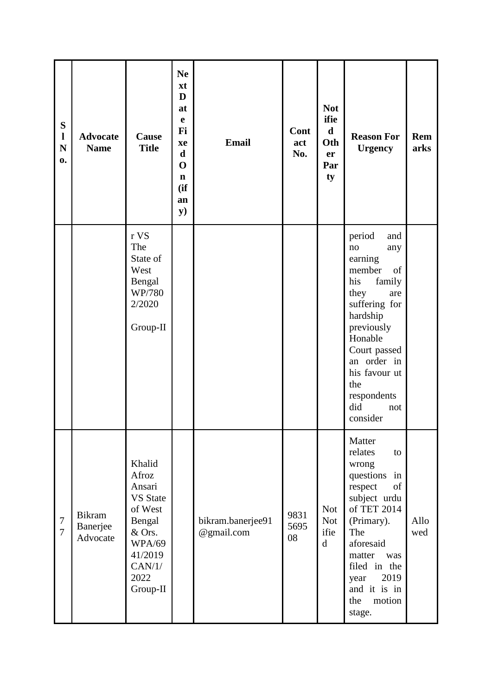| S<br>$\mathbf{l}$<br>N<br>0.       | <b>Advocate</b><br><b>Name</b>        | <b>Cause</b><br><b>Title</b>                                                                                                          | <b>Ne</b><br>xt<br>D<br>at<br>e<br>Fi<br>xe<br>$\mathbf d$<br>$\mathbf 0$<br>$\mathbf n$<br>(ii)<br>an<br>${\bf y})$ | <b>Email</b>                    | Cont<br>act<br>No. | <b>Not</b><br>ifie<br>$\mathbf d$<br>Oth<br>er<br>Par<br>ty | <b>Reason For</b><br><b>Urgency</b>                                                                                                                                                                                                         | Rem<br>arks |
|------------------------------------|---------------------------------------|---------------------------------------------------------------------------------------------------------------------------------------|----------------------------------------------------------------------------------------------------------------------|---------------------------------|--------------------|-------------------------------------------------------------|---------------------------------------------------------------------------------------------------------------------------------------------------------------------------------------------------------------------------------------------|-------------|
|                                    |                                       | r VS<br>The<br>State of<br>West<br>Bengal<br>WP/780<br>2/2020<br>Group-II                                                             |                                                                                                                      |                                 |                    |                                                             | period<br>and<br>no<br>any<br>earning<br>member<br>of<br>his<br>family<br>they<br>are<br>suffering for<br>hardship<br>previously<br>Honable<br>Court passed<br>an order in<br>his favour ut<br>the<br>respondents<br>did<br>not<br>consider |             |
| $\boldsymbol{7}$<br>$\overline{7}$ | <b>Bikram</b><br>Banerjee<br>Advocate | Khalid<br>Afroz<br>Ansari<br><b>VS</b> State<br>of West<br>Bengal<br>& Ors.<br><b>WPA/69</b><br>41/2019<br>CAN/1/<br>2022<br>Group-II |                                                                                                                      | bikram.banerjee91<br>@gmail.com | 9831<br>5695<br>08 | <b>Not</b><br><b>Not</b><br>ifie<br>$\mathbf d$             | Matter<br>relates<br>to<br>wrong<br>questions<br>in<br>respect<br>of<br>subject urdu<br>of TET 2014<br>(Primary).<br>The<br>aforesaid<br>matter<br>was<br>filed in the<br>2019<br>year<br>and it is in<br>motion<br>the<br>stage.           | Allo<br>wed |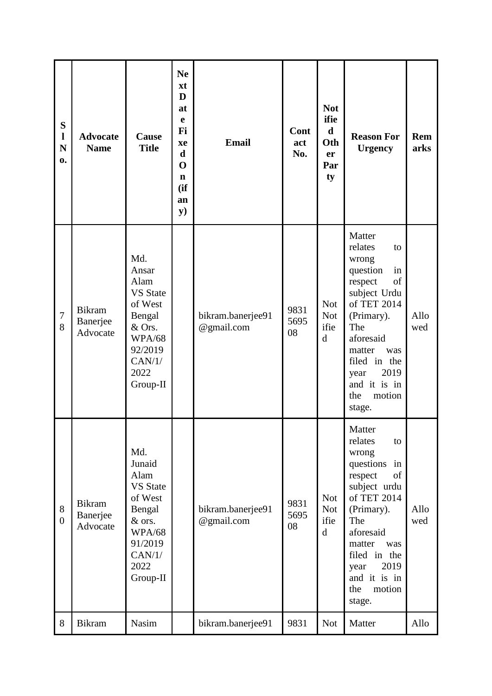| S<br>$\mathbf{l}$<br>$\mathbf N$<br>0. | <b>Advocate</b><br><b>Name</b>        | Cause<br><b>Title</b>                                                                                                             | <b>Ne</b><br>xt<br>D<br>at<br>e<br>Fi<br>xe<br>$\mathbf d$<br>$\mathbf 0$<br>$\mathbf n$<br>(ii)<br>an<br>${\bf y})$ | <b>Email</b>                    | Cont<br>act<br>No. | <b>Not</b><br>ifie<br>$\mathbf d$<br>Oth<br><b>er</b><br>Par<br>ty | <b>Reason For</b><br><b>Urgency</b>                                                                                                                                                                                                                                                                                              | Rem<br>arks |
|----------------------------------------|---------------------------------------|-----------------------------------------------------------------------------------------------------------------------------------|----------------------------------------------------------------------------------------------------------------------|---------------------------------|--------------------|--------------------------------------------------------------------|----------------------------------------------------------------------------------------------------------------------------------------------------------------------------------------------------------------------------------------------------------------------------------------------------------------------------------|-------------|
| $\boldsymbol{7}$<br>8                  | <b>Bikram</b><br>Banerjee<br>Advocate | Md.<br>Ansar<br>Alam<br><b>VS State</b><br>of West<br>Bengal<br>& Ors.<br><b>WPA/68</b><br>92/2019<br>CAN/1/<br>2022<br>Group-II  |                                                                                                                      | bikram.banerjee91<br>@gmail.com | 9831<br>5695<br>08 | <b>Not</b><br><b>Not</b><br>ifie<br>$\mathbf d$                    | Matter<br>relates<br>to<br>wrong<br>question<br>in<br>$% \left( \left( \mathcal{A},\mathcal{A}\right) \right) =\left( \mathcal{A},\mathcal{A}\right)$ of<br>respect<br>subject Urdu<br>of TET 2014<br>(Primary).<br>The<br>aforesaid<br>matter<br>was<br>filed in the<br>2019<br>year<br>and it is in<br>the<br>motion<br>stage. | Allo<br>wed |
| $8\,$<br>$\overline{0}$                | <b>Bikram</b><br>Banerjee<br>Advocate | Md.<br>Junaid<br>Alam<br><b>VS</b> State<br>of West<br>Bengal<br>& ors.<br><b>WPA/68</b><br>91/2019<br>CAN/1/<br>2022<br>Group-II |                                                                                                                      | bikram.banerjee91<br>@gmail.com | 9831<br>5695<br>08 | <b>Not</b><br><b>Not</b><br>ifie<br>$\mathbf d$                    | Matter<br>relates<br>to<br>wrong<br>questions<br>in<br>of<br>respect<br>subject urdu<br>of TET 2014<br>(Primary).<br>The<br>aforesaid<br>matter<br>was<br>filed in the<br>2019<br>year<br>and it is in<br>the<br>motion<br>stage.                                                                                                | Allo<br>wed |
| 8                                      | <b>Bikram</b>                         | Nasim                                                                                                                             |                                                                                                                      | bikram.banerjee91               | 9831               | <b>Not</b>                                                         | Matter                                                                                                                                                                                                                                                                                                                           | Allo        |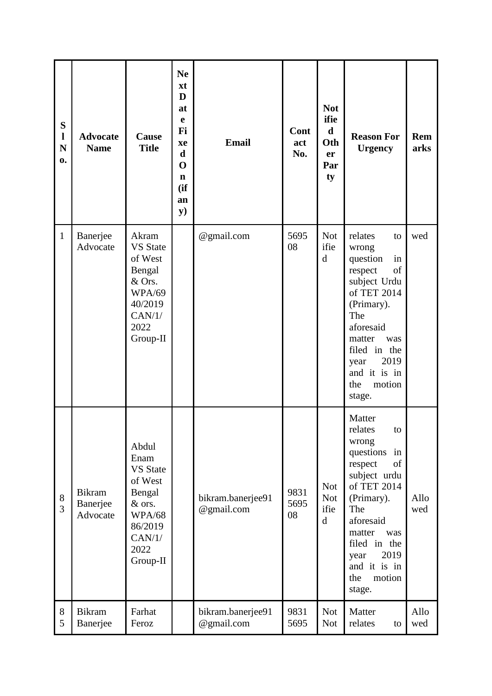| ${\bf S}$<br>$\mathbf{l}$<br>N<br>0. | <b>Advocate</b><br><b>Name</b> | Cause<br><b>Title</b>                                                                                                     | <b>Ne</b><br>xt<br>D<br>at<br>e<br>Fi<br>xe<br>d<br>$\mathbf 0$<br>$\mathbf n$<br>(ii)<br>an<br>${\bf y})$ | <b>Email</b>                    | Cont<br>act<br>No. | <b>Not</b><br>ifie<br>d<br>Oth<br>er<br>Par<br>ty | <b>Reason For</b><br><b>Urgency</b>                                                                                                                                                                                               | Rem<br>arks |
|--------------------------------------|--------------------------------|---------------------------------------------------------------------------------------------------------------------------|------------------------------------------------------------------------------------------------------------|---------------------------------|--------------------|---------------------------------------------------|-----------------------------------------------------------------------------------------------------------------------------------------------------------------------------------------------------------------------------------|-------------|
| $\mathbf{1}$                         | Banerjee<br>Advocate           | Akram<br><b>VS</b> State<br>of West<br>Bengal<br>& Ors.<br><b>WPA/69</b><br>40/2019<br>CAN/1/<br>2022<br>Group-II         |                                                                                                            | @gmail.com                      | 5695<br>08         | <b>Not</b><br>ifie<br>d                           | relates<br>to<br>wrong<br>question<br>in<br>of<br>respect<br>subject Urdu<br>of TET 2014<br>(Primary).<br>The<br>aforesaid<br>matter<br>was<br>filed in the<br>2019<br>year<br>and it is in<br>motion<br>the<br>stage.            | wed         |
| 8<br>$\overline{3}$                  | Bikram<br>Banerjee<br>Advocate | Abdul<br>Enam<br><b>VS State</b><br>of West<br>Bengal<br>& ors.<br><b>WPA/68</b><br>86/2019<br>CAN/1/<br>2022<br>Group-II |                                                                                                            | bikram.banerjee91<br>@gmail.com | 9831<br>5695<br>08 | <b>Not</b><br><b>Not</b><br>ifie<br>$\mathbf d$   | Matter<br>relates<br>to<br>wrong<br>questions<br>in<br>of<br>respect<br>subject urdu<br>of TET 2014<br>(Primary).<br>The<br>aforesaid<br>matter<br>was<br>filed in the<br>2019<br>year<br>and it is in<br>motion<br>the<br>stage. | Allo<br>wed |
| 8<br>5                               | <b>Bikram</b><br>Banerjee      | Farhat<br>Feroz                                                                                                           |                                                                                                            | bikram.banerjee91<br>@gmail.com | 9831<br>5695       | <b>Not</b><br><b>Not</b>                          | Matter<br>relates<br>to                                                                                                                                                                                                           | Allo<br>wed |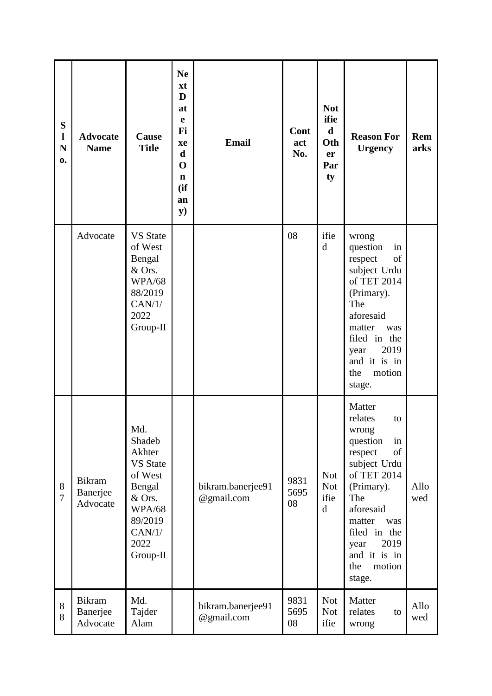| S<br>$\mathbf{l}$<br>N<br>0. | <b>Advocate</b><br><b>Name</b>        | Cause<br><b>Title</b>                                                                                                               | <b>Ne</b><br>xt<br>D<br>at<br>e<br>Fi<br>xe<br>$\mathbf d$<br>$\mathbf 0$<br>$\mathbf n$<br>(ii)<br>an<br>${\bf y})$ | <b>Email</b>                    | Cont<br>act<br>No. | <b>Not</b><br>ifie<br>$\mathbf d$<br>Oth<br>er<br>Par<br>ty | <b>Reason For</b><br><b>Urgency</b>                                                                                                                                                                                              | Rem<br>arks |
|------------------------------|---------------------------------------|-------------------------------------------------------------------------------------------------------------------------------------|----------------------------------------------------------------------------------------------------------------------|---------------------------------|--------------------|-------------------------------------------------------------|----------------------------------------------------------------------------------------------------------------------------------------------------------------------------------------------------------------------------------|-------------|
|                              | Advocate                              | <b>VS</b> State<br>of West<br>Bengal<br>& Ors.<br><b>WPA/68</b><br>88/2019<br>CAN/1/<br>2022<br>Group-II                            |                                                                                                                      |                                 | 08                 | ifie<br>$\mathbf d$                                         | wrong<br>question<br>in<br>respect<br>of<br>subject Urdu<br>of TET 2014<br>(Primary).<br>The<br>aforesaid<br>matter<br>was<br>filed in the<br>2019<br>year<br>and it is in<br>motion<br>the<br>stage.                            |             |
| 8<br>$\overline{7}$          | <b>Bikram</b><br>Banerjee<br>Advocate | Md.<br>Shadeb<br>Akhter<br><b>VS State</b><br>of West<br>Bengal<br>& Ors.<br><b>WPA/68</b><br>89/2019<br>CAN/1/<br>2022<br>Group-II |                                                                                                                      | bikram.banerjee91<br>@gmail.com | 9831<br>5695<br>08 | <b>Not</b><br><b>Not</b><br>ifie<br>$\mathbf d$             | Matter<br>relates<br>to<br>wrong<br>question<br>in<br>respect<br>of<br>subject Urdu<br>of TET 2014<br>(Primary).<br>The<br>aforesaid<br>matter<br>was<br>filed in the<br>2019<br>year<br>and it is in<br>motion<br>the<br>stage. | Allo<br>wed |
| $8\,$<br>8                   | <b>Bikram</b><br>Banerjee<br>Advocate | Md.<br>Tajder<br>Alam                                                                                                               |                                                                                                                      | bikram.banerjee91<br>@gmail.com | 9831<br>5695<br>08 | <b>Not</b><br><b>Not</b><br>ifie                            | Matter<br>relates<br>to<br>wrong                                                                                                                                                                                                 | Allo<br>wed |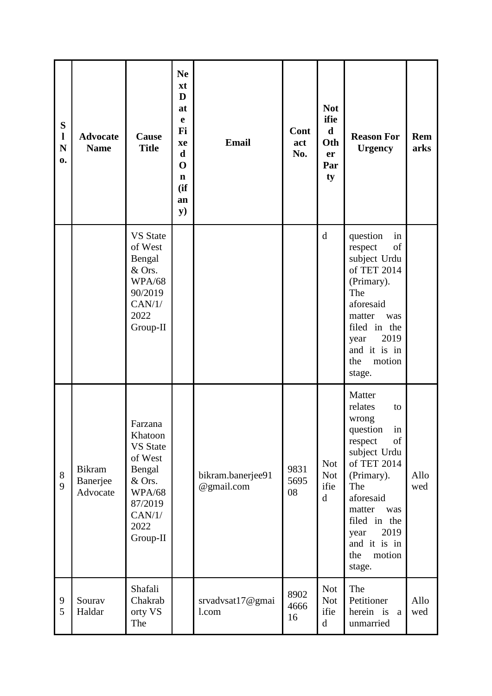| ${\bf S}$<br>$\mathbf{l}$<br>$\mathbf N$<br>0. | <b>Advocate</b><br><b>Name</b>        | Cause<br><b>Title</b>                                                                                                          | <b>Ne</b><br>xt<br>D<br>at<br>e<br>Fi<br>xe<br>$\mathbf d$<br>$\mathbf 0$<br>$\mathbf n$<br>(ii)<br>an<br>${\bf y})$ | <b>Email</b>                    | Cont<br>act<br>No. | <b>Not</b><br>ifie<br>$\mathbf d$<br>Oth<br>er<br>Par<br>ty | <b>Reason For</b><br><b>Urgency</b>                                                                                                                                                                                              | Rem<br>arks |
|------------------------------------------------|---------------------------------------|--------------------------------------------------------------------------------------------------------------------------------|----------------------------------------------------------------------------------------------------------------------|---------------------------------|--------------------|-------------------------------------------------------------|----------------------------------------------------------------------------------------------------------------------------------------------------------------------------------------------------------------------------------|-------------|
|                                                |                                       | <b>VS State</b><br>of West<br>Bengal<br>& Ors.<br><b>WPA/68</b><br>90/2019<br>CAN/1/<br>2022<br>Group-II                       |                                                                                                                      |                                 |                    | $\mathbf d$                                                 | question<br>in<br>of<br>respect<br>subject Urdu<br>of TET 2014<br>(Primary).<br>The<br>aforesaid<br>matter<br>was<br>filed in the<br>2019<br>year<br>and it is in<br>motion<br>the<br>stage.                                     |             |
| $8\,$<br>9                                     | <b>Bikram</b><br>Banerjee<br>Advocate | Farzana<br>Khatoon<br><b>VS State</b><br>of West<br>Bengal<br>& Ors.<br><b>WPA/68</b><br>87/2019<br>CAN/1/<br>2022<br>Group-II |                                                                                                                      | bikram.banerjee91<br>@gmail.com | 9831<br>5695<br>08 | <b>Not</b><br><b>Not</b><br>ifie<br>$\mathbf d$             | Matter<br>relates<br>to<br>wrong<br>question<br>in<br>of<br>respect<br>subject Urdu<br>of TET 2014<br>(Primary).<br>The<br>aforesaid<br>matter<br>was<br>filed in the<br>2019<br>year<br>and it is in<br>motion<br>the<br>stage. | Allo<br>wed |
| 9<br>5                                         | Sourav<br>Haldar                      | Shafali<br>Chakrab<br>orty VS<br>The                                                                                           |                                                                                                                      | srvadvsat17@gmai<br>l.com       | 8902<br>4666<br>16 | <b>Not</b><br><b>Not</b><br>ifie<br>$\mathbf d$             | The<br>Petitioner<br>herein is a<br>unmarried                                                                                                                                                                                    | Allo<br>wed |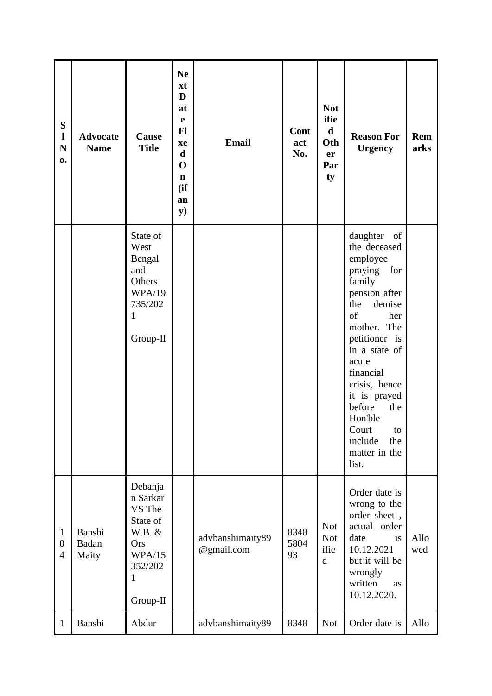| S<br>$\mathbf{l}$<br>N<br>0.                       | <b>Advocate</b><br><b>Name</b> | Cause<br><b>Title</b>                                                                            | <b>Ne</b><br>xt<br>D<br>at<br>e<br>Fi<br>xe<br>$\mathbf d$<br>$\mathbf 0$<br>$\mathbf n$<br>(ii)<br>an<br>${\bf y})$ | <b>Email</b>                   | Cont<br>act<br>No. | <b>Not</b><br>ifie<br>$\mathbf d$<br>Oth<br>er<br>Par<br>ty | <b>Reason For</b><br><b>Urgency</b>                                                                                                                                                                                                                                                                               | Rem<br>arks |
|----------------------------------------------------|--------------------------------|--------------------------------------------------------------------------------------------------|----------------------------------------------------------------------------------------------------------------------|--------------------------------|--------------------|-------------------------------------------------------------|-------------------------------------------------------------------------------------------------------------------------------------------------------------------------------------------------------------------------------------------------------------------------------------------------------------------|-------------|
|                                                    |                                | State of<br>West<br>Bengal<br>and<br>Others<br><b>WPA/19</b><br>735/202<br>1<br>Group-II         |                                                                                                                      |                                |                    |                                                             | daughter<br>of<br>the deceased<br>employee<br>praying<br>for<br>family<br>pension after<br>the<br>demise<br>of<br>her<br>mother. The<br>petitioner is<br>in a state of<br>acute<br>financial<br>crisis, hence<br>it is prayed<br>before<br>the<br>Hon'ble<br>Court to<br>include<br>the<br>matter in the<br>list. |             |
| $\mathbf{1}$<br>$\boldsymbol{0}$<br>$\overline{4}$ | Banshi<br>Badan<br>Maity       | Debanja<br>n Sarkar<br>VS The<br>State of<br>W.B. &<br>Ors<br>WPA/15<br>352/202<br>1<br>Group-II |                                                                                                                      | advbanshimaity89<br>@gmail.com | 8348<br>5804<br>93 | <b>Not</b><br><b>Not</b><br>ifie<br>$\mathbf d$             | Order date is<br>wrong to the<br>order sheet,<br>actual order<br>date<br>is<br>10.12.2021<br>but it will be<br>wrongly<br>written<br>as<br>10.12.2020.                                                                                                                                                            | Allo<br>wed |
| $\mathbf{1}$                                       | Banshi                         | Abdur                                                                                            |                                                                                                                      | advbanshimaity89               | 8348               | <b>Not</b>                                                  | Order date is                                                                                                                                                                                                                                                                                                     | Allo        |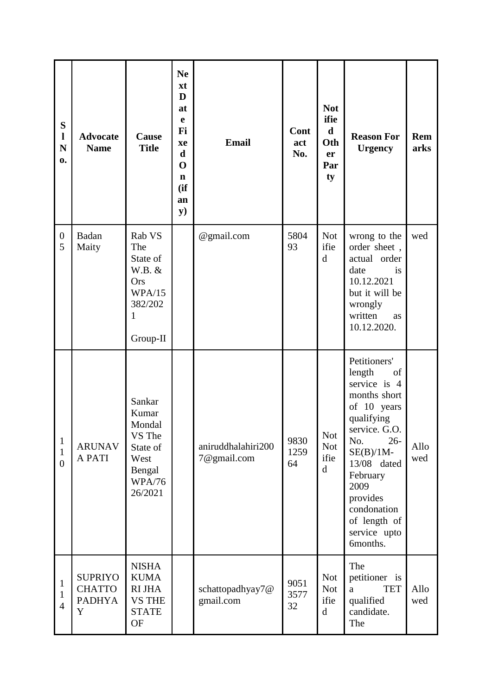| S<br>$\mathbf{l}$<br>$\mathbf N$<br>0.         | <b>Advocate</b><br><b>Name</b>                        | Cause<br><b>Title</b>                                                                         | <b>Ne</b><br>xt<br>D<br>at<br>$\mathbf e$<br>Fi<br>xe<br>$\mathbf d$<br>$\mathbf 0$<br>$\mathbf n$<br>(ii)<br>an<br>${\bf y})$ | <b>Email</b>                      | Cont<br>act<br>No. | <b>Not</b><br>ifie<br>$\mathbf d$<br>Oth<br><b>er</b><br>Par<br>ty | <b>Reason For</b><br><b>Urgency</b>                                                                                                                                                                                                                  | <b>Rem</b><br>arks |
|------------------------------------------------|-------------------------------------------------------|-----------------------------------------------------------------------------------------------|--------------------------------------------------------------------------------------------------------------------------------|-----------------------------------|--------------------|--------------------------------------------------------------------|------------------------------------------------------------------------------------------------------------------------------------------------------------------------------------------------------------------------------------------------------|--------------------|
| $\boldsymbol{0}$<br>5                          | Badan<br>Maity                                        | Rab VS<br>The<br>State of<br>W.B. &<br>Ors<br>WPA/15<br>382/202<br>1<br>Group-II              |                                                                                                                                | @gmail.com                        | 5804<br>93         | <b>Not</b><br>ifie<br>d                                            | wrong to the<br>order sheet,<br>actual order<br>date<br>is<br>10.12.2021<br>but it will be<br>wrongly<br>written<br>as<br>10.12.2020.                                                                                                                | wed                |
| $\mathbf{1}$<br>$\mathbf{1}$<br>$\overline{0}$ | <b>ARUNAV</b><br><b>A PATI</b>                        | Sankar<br>Kumar<br>Mondal<br>VS The<br>State of<br>West<br>Bengal<br><b>WPA/76</b><br>26/2021 |                                                                                                                                | aniruddhalahiri200<br>7@gmail.com | 9830<br>1259<br>64 | <b>Not</b><br><b>Not</b><br>ifie<br>$\mathbf d$                    | Petitioners'<br>length<br>of<br>service is 4<br>months short<br>of 10 years<br>qualifying<br>service. G.O.<br>No.<br>$26 -$<br>$SE(B)/1M-$<br>13/08 dated<br>February<br>2009<br>provides<br>condonation<br>of length of<br>service upto<br>6months. | Allo<br>wed        |
| $\mathbf{1}$<br>$\mathbf{1}$<br>$\overline{4}$ | <b>SUPRIYO</b><br><b>CHATTO</b><br><b>PADHYA</b><br>Y | <b>NISHA</b><br><b>KUMA</b><br><b>RIJHA</b><br><b>VS THE</b><br><b>STATE</b><br><b>OF</b>     |                                                                                                                                | schattopadhyay7@<br>gmail.com     | 9051<br>3577<br>32 | <b>Not</b><br><b>Not</b><br>ifie<br>$\mathbf d$                    | The<br>petitioner is<br><b>TET</b><br>a<br>qualified<br>candidate.<br>The                                                                                                                                                                            | Allo<br>wed        |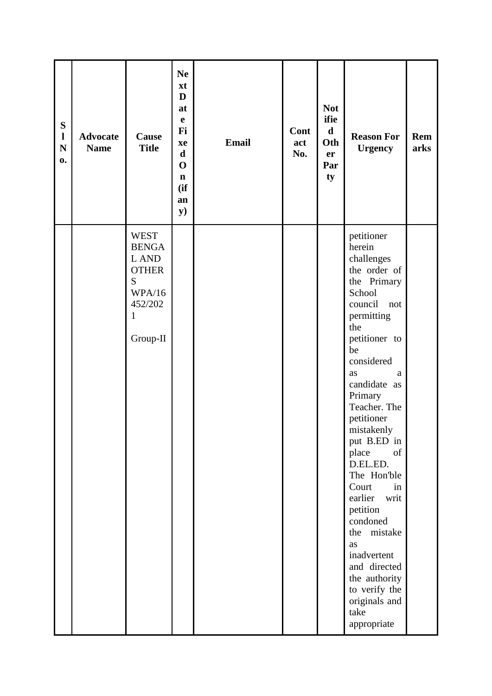| ${\bf S}$<br>$\mathbf{l}$<br>$\mathbf N$<br>$\mathbf{0}$ . | <b>Advocate</b><br><b>Name</b> | Cause<br><b>Title</b>                                                                                      | <b>Ne</b><br>xt<br>D<br>at<br>$\mathbf e$<br>Fi<br>xe<br>$\mathbf d$<br>$\mathbf 0$<br>$\mathbf n$<br>(if)<br>an<br><b>y</b> ) | <b>Email</b> | Cont<br>act<br>No. | <b>Not</b><br>ifie<br>$\mathbf d$<br>Oth<br>er<br>Par<br>ty | <b>Reason For</b><br><b>Urgency</b>                                                                                                                                                                                                                                                                                                                                                                                                                                                        | Rem<br>arks |
|------------------------------------------------------------|--------------------------------|------------------------------------------------------------------------------------------------------------|--------------------------------------------------------------------------------------------------------------------------------|--------------|--------------------|-------------------------------------------------------------|--------------------------------------------------------------------------------------------------------------------------------------------------------------------------------------------------------------------------------------------------------------------------------------------------------------------------------------------------------------------------------------------------------------------------------------------------------------------------------------------|-------------|
|                                                            |                                | <b>WEST</b><br><b>BENGA</b><br>L AND<br><b>OTHER</b><br>S<br>WPA/16<br>452/202<br>$\mathbf{1}$<br>Group-II |                                                                                                                                |              |                    |                                                             | petitioner<br>herein<br>challenges<br>the order of<br>the Primary<br>School<br>council<br>not<br>permitting<br>the<br>petitioner to<br>be<br>considered<br>as<br>a<br>candidate as<br>Primary<br>Teacher. The<br>petitioner<br>mistakenly<br>put B.ED in<br>place<br>of<br>D.EL.ED.<br>The Hon'ble<br>Court<br>in<br>earlier<br>writ<br>petition<br>condoned<br>the mistake<br>as<br>inadvertent<br>and directed<br>the authority<br>to verify the<br>originals and<br>take<br>appropriate |             |